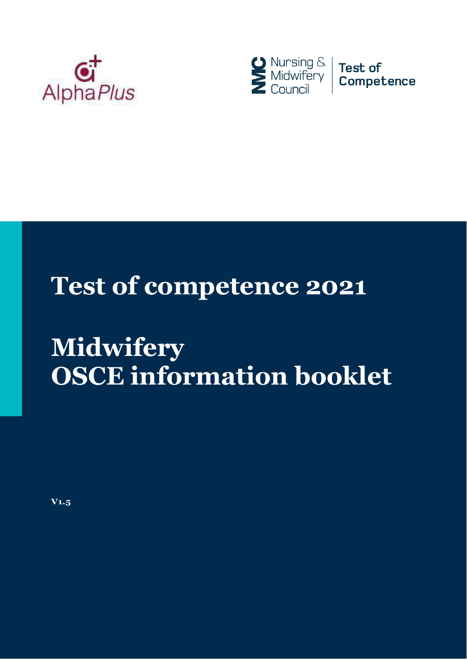



# **Test of competence 2021**

# **Midwifery OSCE information booklet**

**V1.5**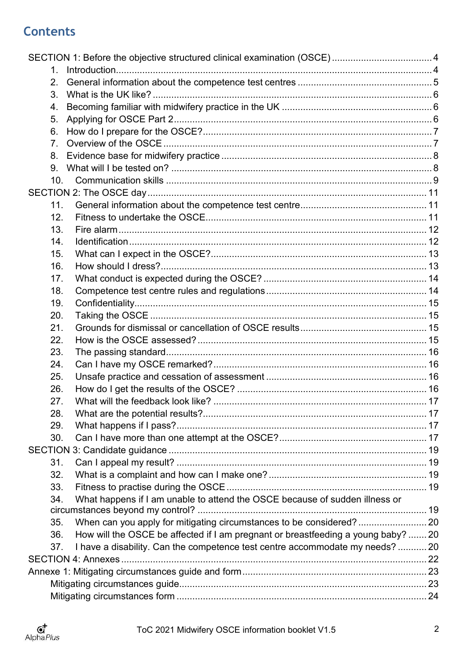# **Contents**

| 1               |                                                                                   |  |
|-----------------|-----------------------------------------------------------------------------------|--|
| 2.              |                                                                                   |  |
| 3.              |                                                                                   |  |
| 4.              |                                                                                   |  |
| 5.              |                                                                                   |  |
| 6.              |                                                                                   |  |
| 7 <sub>1</sub>  |                                                                                   |  |
| 8.              |                                                                                   |  |
| 9.              |                                                                                   |  |
| 10 <sub>1</sub> |                                                                                   |  |
|                 |                                                                                   |  |
| 11.             |                                                                                   |  |
| 12.             |                                                                                   |  |
| 13.             |                                                                                   |  |
| 14.             |                                                                                   |  |
| 15.             |                                                                                   |  |
| 16.             |                                                                                   |  |
| 17.             |                                                                                   |  |
| 18.             |                                                                                   |  |
| 19.             |                                                                                   |  |
| 20.             |                                                                                   |  |
| 21.             |                                                                                   |  |
| 22.             |                                                                                   |  |
| 23.             |                                                                                   |  |
| 24.             |                                                                                   |  |
| 25.             |                                                                                   |  |
| 26.             |                                                                                   |  |
| 27.             |                                                                                   |  |
| 28.             |                                                                                   |  |
| 29.             |                                                                                   |  |
| 30.             |                                                                                   |  |
|                 |                                                                                   |  |
| 31.             |                                                                                   |  |
| 32.             |                                                                                   |  |
| 33.             |                                                                                   |  |
| 34.             | What happens if I am unable to attend the OSCE because of sudden illness or       |  |
|                 |                                                                                   |  |
| 35.             |                                                                                   |  |
| 36.             | How will the OSCE be affected if I am pregnant or breastfeeding a young baby?  20 |  |
| 37.             | I have a disability. Can the competence test centre accommodate my needs?  20     |  |
|                 |                                                                                   |  |
|                 |                                                                                   |  |
|                 |                                                                                   |  |
|                 |                                                                                   |  |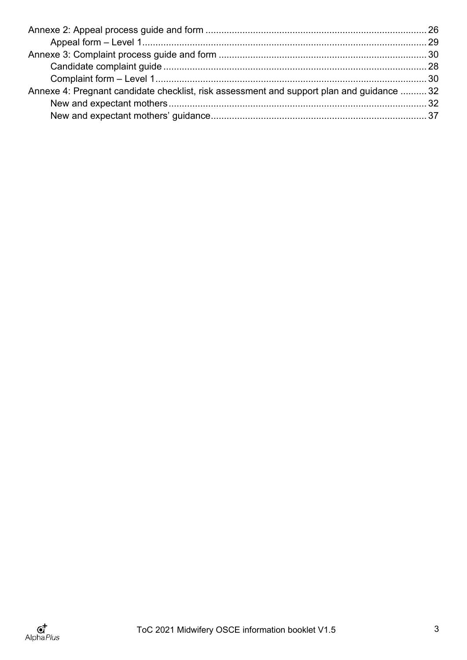| Annexe 4: Pregnant candidate checklist, risk assessment and support plan and guidance  32 |
|-------------------------------------------------------------------------------------------|
|                                                                                           |
|                                                                                           |
|                                                                                           |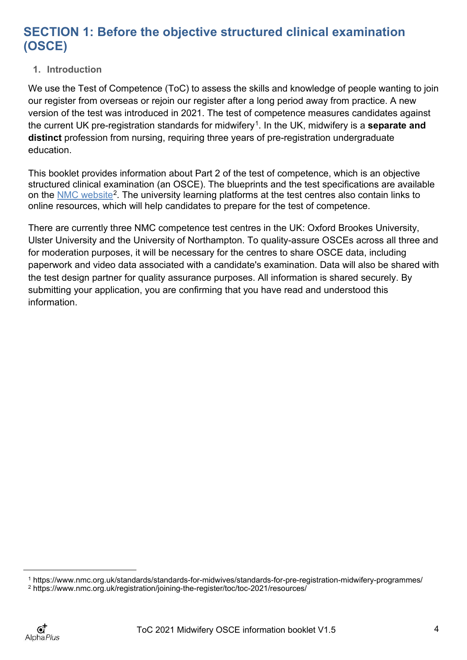# <span id="page-3-0"></span>**SECTION 1: Before the objective structured clinical examination (OSCE)**

## <span id="page-3-1"></span>**1. Introduction**

We use the Test of Competence (ToC) to assess the skills and knowledge of people wanting to join our register from overseas or rejoin our register after a long period away from practice. A new version of the test was introduced in 2021. The test of competence measures candidates against the current UK pre-registration standards for midwifery[1.](#page-3-2) In the UK, midwifery is a **separate and distinct** profession from nursing, requiring three years of pre-registration undergraduate education.

This booklet provides information about Part 2 of the test of competence, which is an objective structured clinical examination (an OSCE). The blueprints and the test specifications are available on the [NMC website](https://www.nmc.org.uk/registration/joining-the-register/toc/toc-2021/resources/)<sup>[2](#page-3-3)</sup>. The university learning platforms at the test centres also contain links to online resources, which will help candidates to prepare for the test of competence.

There are currently three NMC competence test centres in the UK: Oxford Brookes University, Ulster University and the University of Northampton. To quality-assure OSCEs across all three and for moderation purposes, it will be necessary for the centres to share OSCE data, including paperwork and video data associated with a candidate's examination. Data will also be shared with the test design partner for quality assurance purposes. All information is shared securely. By submitting your application, you are confirming that you have read and understood this information.

<span id="page-3-2"></span><sup>1</sup> https://www.nmc.org.uk/standards/standards-for-midwives/standards-for-pre-registration-midwifery-programmes/

<span id="page-3-3"></span><sup>2</sup> https://www.nmc.org.uk/registration/joining-the-register/toc/toc-2021/resources/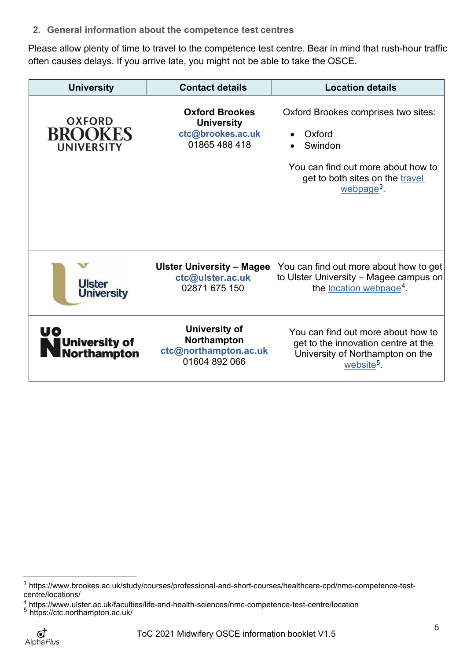<span id="page-4-0"></span>**2. General information about the competence test centres**

Please allow plenty of time to travel to the competence test centre. Bear in mind that rush-hour traffic often causes delays. If you arrive late, you might not be able to take the OSCE.

| <b>University</b>                             | <b>Contact details</b>                                                           | <b>Location details</b>                                                                                                                                     |
|-----------------------------------------------|----------------------------------------------------------------------------------|-------------------------------------------------------------------------------------------------------------------------------------------------------------|
| <b>OXFORD</b><br><b>BROOKES</b><br>UNIVERSITY | <b>Oxford Brookes</b><br><b>University</b><br>ctc@brookes.ac.uk<br>01865 488 418 | Oxford Brookes comprises two sites:<br>Oxford<br>Swindon<br>You can find out more about how to<br>get to both sites on the travel<br>webpage <sup>3</sup> . |
| <b>Ulster</b><br><b>University</b>            | Ulster University - Magee<br>ctc@ulster.ac.uk<br>02871 675 150                   | You can find out more about how to get<br>to Ulster University - Magee campus on<br>the <u>location webpage</u> <sup>4</sup> .                              |
| University of<br>Northampton                  | <b>University of</b><br>Northampton<br>ctc@northampton.ac.uk<br>01604 892 066    | You can find out more about how to<br>get to the innovation centre at the<br>University of Northampton on the<br>website <sup>5</sup> .                     |

<span id="page-4-1"></span><sup>3</sup> [https://www.brookes.ac.uk/study/courses/professional-and-short-courses/healthcare-cpd/nmc-competence-test](https://eur02.safelinks.protection.outlook.com/?url=https%3A%2F%2Fwww.brookes.ac.uk%2Fstudy%2Fcourses%2Fprofessional-and-short-courses%2Fhealthcare-cpd%2Fnmc-competence-test-centre%2Flocations%2F&data=04%7C01%7Cpriya.dutta%40alphaplus.co.uk%7Cf123f1bf4bd8452bfc2b08d9d51e7ee0%7Cc25021120dd64c7fba35d8b0d1df9319%7C0%7C0%7C637775149516363945%7CUnknown%7CTWFpbGZsb3d8eyJWIjoiMC4wLjAwMDAiLCJQIjoiV2luMzIiLCJBTiI6Ik1haWwiLCJXVCI6Mn0%3D%7C3000&sdata=5fA6F52INiCpQHpqqy8m6kikPAoEX%2FmLxAeVf0Z%2BhQs%3D&reserved=0)[centre/locations/](https://eur02.safelinks.protection.outlook.com/?url=https%3A%2F%2Fwww.brookes.ac.uk%2Fstudy%2Fcourses%2Fprofessional-and-short-courses%2Fhealthcare-cpd%2Fnmc-competence-test-centre%2Flocations%2F&data=04%7C01%7Cpriya.dutta%40alphaplus.co.uk%7Cf123f1bf4bd8452bfc2b08d9d51e7ee0%7Cc25021120dd64c7fba35d8b0d1df9319%7C0%7C0%7C637775149516363945%7CUnknown%7CTWFpbGZsb3d8eyJWIjoiMC4wLjAwMDAiLCJQIjoiV2luMzIiLCJBTiI6Ik1haWwiLCJXVCI6Mn0%3D%7C3000&sdata=5fA6F52INiCpQHpqqy8m6kikPAoEX%2FmLxAeVf0Z%2BhQs%3D&reserved=0)

<span id="page-4-2"></span> $\frac{4}{5}$  https:[//www.ulster.ac.uk/faculties/life-and-health-sciences/nmc-competence-test-centre/location](http://www.ulster.ac.uk/faculties/life-and-health-sciences/nmc-competence-test-centre/location)

<span id="page-4-3"></span><sup>&</sup>lt;sup>5</sup> <https://ctc.northampton.ac.uk/>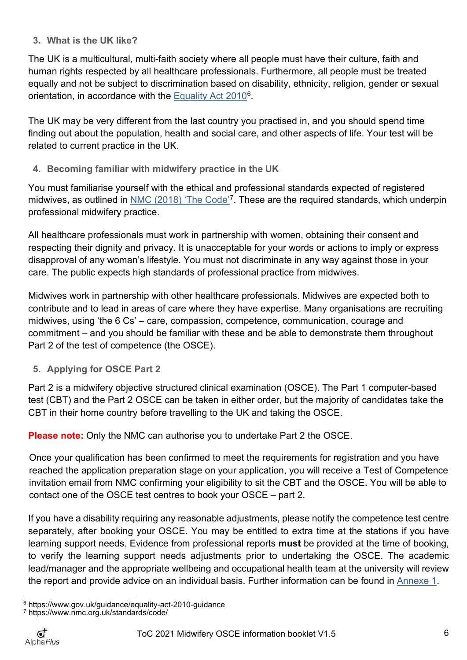## <span id="page-5-0"></span>**3. What is the UK like?**

The UK is a multicultural, multi-faith society where all people must have their culture, faith and human rights respected by all healthcare professionals. Furthermore, all people must be treated equally and not be subject to discrimination based on disability, ethnicity, religion, gender or sexual orientation, in accordance with the [Equality Act 2010](https://www.gov.uk/guidance/equality-act-2010-guidance)[6.](#page-5-3)

The UK may be very different from the last country you practised in, and you should spend time finding out about the population, health and social care, and other aspects of life. Your test will be related to current practice in the UK.

<span id="page-5-1"></span>**4. Becoming familiar with midwifery practice in the UK**

You must familiarise yourself with the ethical and professional standards expected of registered midwives, as outlined in <u>NMC (2018) 'The Code'</u><sup>7</sup>. These are the required standards, which underpin professional midwifery practice.

All healthcare professionals must work in partnership with women, obtaining their consent and respecting their dignity and privacy. It is unacceptable for your words or actions to imply or express disapproval of any woman's lifestyle. You must not discriminate in any way against those in your care. The public expects high standards of professional practice from midwives.

Midwives work in partnership with other healthcare professionals. Midwives are expected both to contribute and to lead in areas of care where they have expertise. Many organisations are recruiting midwives, using 'the 6 Cs' – care, compassion, competence, communication, courage and commitment – and you should be familiar with these and be able to demonstrate them throughout Part 2 of the test of competence (the OSCE).

## <span id="page-5-2"></span>**5. Applying for OSCE Part 2**

Part 2 is a midwifery objective structured clinical examination (OSCE). The Part 1 computer-based test (CBT) and the Part 2 OSCE can be taken in either order, but the majority of candidates take the CBT in their home country before travelling to the UK and taking the OSCE.

**Please note:** Only the NMC can authorise you to undertake Part 2 the OSCE.

Once your qualification has been confirmed to meet the requirements for registration and you have reached the application preparation stage on your application, you will receive a Test of Competence invitation email from NMC confirming your eligibility to sit the CBT and the OSCE. You will be able to contact one of the OSCE test centres to book your OSCE – part 2.

If you have a disability requiring any reasonable adjustments, please notify the competence test centre separately, after booking your OSCE. You may be entitled to extra time at the stations if you have learning support needs. Evidence from professional reports **must** be provided at the time of booking, to verify the learning support needs adjustments prior to undertaking the OSCE. The academic lead/manager and the appropriate wellbeing and occupational health team at the university will review the report and provide advice on an individual basis. Further information can be found in [Annexe 1.](#page-22-0)

<span id="page-5-3"></span><sup>6</sup> https:[//www.gov.uk/guidance/equality-act-2010-guidance](http://www.gov.uk/guidance/equality-act-2010-guidance)

<span id="page-5-4"></span><sup>7</sup> https:[//www.nmc.org.uk/standards/code/](http://www.nmc.org.uk/standards/code/)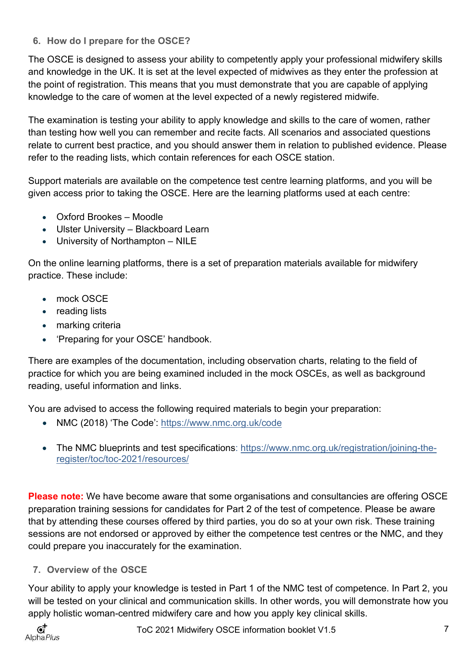## <span id="page-6-0"></span>**6. How do I prepare for the OSCE?**

The OSCE is designed to assess your ability to competently apply your professional midwifery skills and knowledge in the UK. It is set at the level expected of midwives as they enter the profession at the point of registration. This means that you must demonstrate that you are capable of applying knowledge to the care of women at the level expected of a newly registered midwife.

The examination is testing your ability to apply knowledge and skills to the care of women, rather than testing how well you can remember and recite facts. All scenarios and associated questions relate to current best practice, and you should answer them in relation to published evidence. Please refer to the reading lists, which contain references for each OSCE station.

Support materials are available on the competence test centre learning platforms, and you will be given access prior to taking the OSCE. Here are the learning platforms used at each centre:

- Oxford Brookes Moodle
- Ulster University Blackboard Learn
- University of Northampton NILE

On the online learning platforms, there is a set of preparation materials available for midwifery practice. These include:

- mock OSCE
- reading lists
- marking criteria
- 'Preparing for your OSCE' handbook.

There are examples of the documentation, including observation charts, relating to the field of practice for which you are being examined included in the mock OSCEs, as well as background reading, useful information and links.

You are advised to access the following required materials to begin your preparation:

- NMC (2018) 'The Code': <https://www.nmc.org.uk/code>
- The NMC blueprints and test specifications: [https://www.nmc.org.uk/registration/joining-the](https://www.nmc.org.uk/registration/joining-the-register/toc/toc-2021/resources/)[register/toc/toc-2021/resources/](https://www.nmc.org.uk/registration/joining-the-register/toc/toc-2021/resources/)

**Please note:** We have become aware that some organisations and consultancies are offering OSCE preparation training sessions for candidates for Part 2 of the test of competence. Please be aware that by attending these courses offered by third parties, you do so at your own risk. These training sessions are not endorsed or approved by either the competence test centres or the NMC, and they could prepare you inaccurately for the examination.

## <span id="page-6-1"></span>**7. Overview of the OSCE**

Your ability to apply your knowledge is tested in Part 1 of the NMC test of competence. In Part 2, you will be tested on your clinical and communication skills. In other words, you will demonstrate how you apply holistic woman-centred midwifery care and how you apply key clinical skills.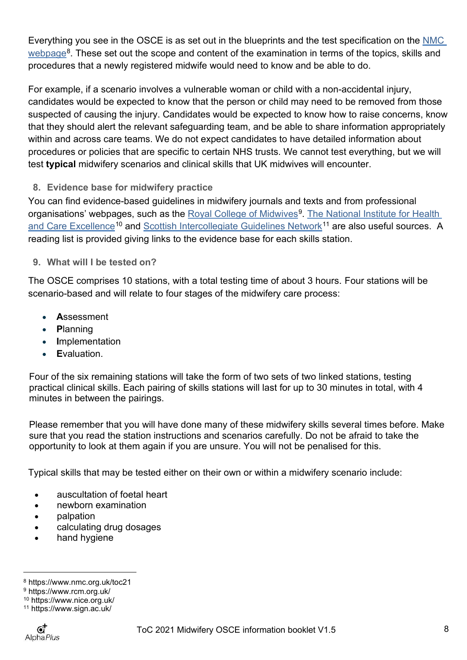Everything you see in the OSCE is as set out in the blueprints and the test specification on the NMC  $webpage8$  $webpage8$ . These set out the scope and content of the examination in terms of the topics, skills and procedures that a newly registered midwife would need to know and be able to do.

For example, if a scenario involves a vulnerable woman or child with a non-accidental injury, candidates would be expected to know that the person or child may need to be removed from those suspected of causing the injury. Candidates would be expected to know how to raise concerns, know that they should alert the relevant safeguarding team, and be able to share information appropriately within and across care teams. We do not expect candidates to have detailed information about procedures or policies that are specific to certain NHS trusts. We cannot test everything, but we will test **typical** midwifery scenarios and clinical skills that UK midwives will encounter.

<span id="page-7-0"></span>**8. Evidence base for midwifery practice**

You can find evidence-based guidelines in midwifery journals and texts and from professional organisations' webpages, such as the [Royal College of Midwives](https://www.rcm.org.uk/)<sup>[9](#page-7-3)</sup>. [The National](https://www.nice.org.uk/) [Institute for](https://www.nice.org.uk/) Health [and Care Excellence](https://www.nice.org.uk/)<sup>[10](#page-7-4)</sup> and [Scottish Intercollegiate Guidelines Network](https://www.sign.ac.uk/)<sup>[11](#page-7-5)</sup> are also useful sources. A reading list is provided giving links to the evidence base for each skills station.

<span id="page-7-1"></span>**9. What will I be tested on?**

The OSCE comprises 10 stations, with a total testing time of about 3 hours. Four stations will be scenario-based and will relate to four stages of the midwifery care process:

- **A**ssessment
- **P**lanning
- **I**mplementation
- **E**valuation.

Four of the six remaining stations will take the form of two sets of two linked stations, testing practical clinical skills. Each pairing of skills stations will last for up to 30 minutes in total, with 4 minutes in between the pairings.

Please remember that you will have done many of these midwifery skills several times before. Make sure that you read the station instructions and scenarios carefully. Do not be afraid to take the opportunity to look at them again if you are unsure. You will not be penalised for this.

Typical skills that may be tested either on their own or within a midwifery scenario include:

- auscultation of foetal heart
- newborn examination
- palpation
- calculating drug dosages
- hand hygiene

<span id="page-7-2"></span><sup>8</sup> https:[//www.nmc.org.uk/t](http://www.nmc.org.uk/registration/joining-the-register/register-nurse-midwife/trained-outside-the-eueea/adult-general-nursing/)oc21

<span id="page-7-3"></span><sup>9</sup> https://www.rcm.org.uk/

<span id="page-7-4"></span><sup>10</sup> https:[//www.nice.org.uk/](http://www.nice.org.uk/)

<span id="page-7-5"></span><sup>11</sup> https:[//www.sign.ac.uk/](http://www.sign.ac.uk/)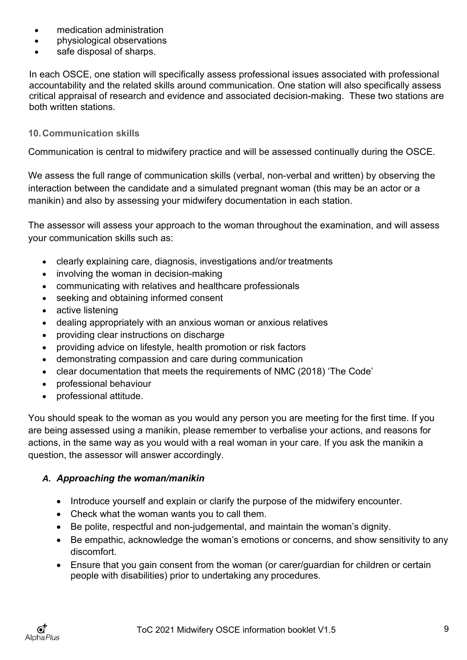- medication administration
- physiological observations
- safe disposal of sharps.

In each OSCE, one station will specifically assess professional issues associated with professional accountability and the related skills around communication. One station will also specifically assess critical appraisal of research and evidence and associated decision-making. These two stations are both written stations.

## <span id="page-8-0"></span>**10.Communication skills**

Communication is central to midwifery practice and will be assessed continually during the OSCE.

We assess the full range of communication skills (verbal, non-verbal and written) by observing the interaction between the candidate and a simulated pregnant woman (this may be an actor or a manikin) and also by assessing your midwifery documentation in each station.

The assessor will assess your approach to the woman throughout the examination, and will assess your communication skills such as:

- clearly explaining care, diagnosis, investigations and/or treatments
- involving the woman in decision-making
- communicating with relatives and healthcare professionals
- seeking and obtaining informed consent
- active listening
- dealing appropriately with an anxious woman or anxious relatives
- providing clear instructions on discharge
- providing advice on lifestyle, health promotion or risk factors
- demonstrating compassion and care during communication
- clear documentation that meets the requirements of NMC (2018) 'The Code'
- professional behaviour
- professional attitude.

You should speak to the woman as you would any person you are meeting for the first time. If you are being assessed using a manikin, please remember to verbalise your actions, and reasons for actions, in the same way as you would with a real woman in your care. If you ask the manikin a question, the assessor will answer accordingly.

## *A. Approaching the woman/manikin*

- Introduce yourself and explain or clarify the purpose of the midwifery encounter.
- Check what the woman wants you to call them.
- Be polite, respectful and non-judgemental, and maintain the woman's dignity.
- Be empathic, acknowledge the woman's emotions or concerns, and show sensitivity to any discomfort.
- Ensure that you gain consent from the woman (or carer/guardian for children or certain people with disabilities) prior to undertaking any procedures.

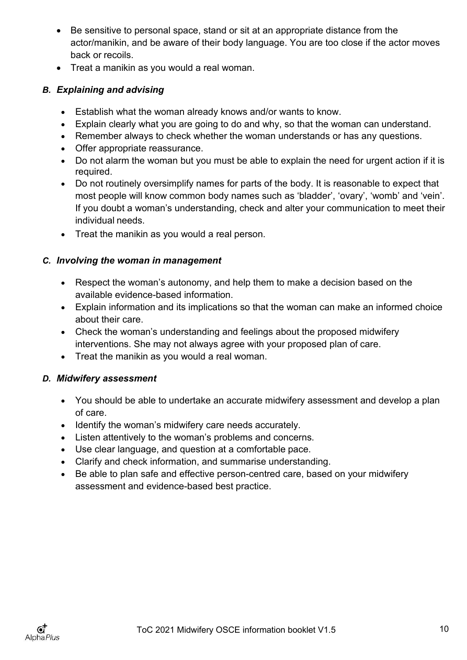- Be sensitive to personal space, stand or sit at an appropriate distance from the actor/manikin, and be aware of their body language. You are too close if the actor moves back or recoils.
- Treat a manikin as you would a real woman.

## *B. Explaining and advising*

- Establish what the woman already knows and/or wants to know.
- Explain clearly what you are going to do and why, so that the woman can understand.
- Remember always to check whether the woman understands or has any questions.
- Offer appropriate reassurance.
- Do not alarm the woman but you must be able to explain the need for urgent action if it is required.
- Do not routinely oversimplify names for parts of the body. It is reasonable to expect that most people will know common body names such as 'bladder', 'ovary', 'womb' and 'vein'. If you doubt a woman's understanding, check and alter your communication to meet their individual needs.
- Treat the manikin as you would a real person.

## *C. Involving the woman in management*

- Respect the woman's autonomy, and help them to make a decision based on the available evidence-based information.
- Explain information and its implications so that the woman can make an informed choice about their care.
- Check the woman's understanding and feelings about the proposed midwifery interventions. She may not always agree with your proposed plan of care.
- Treat the manikin as you would a real woman.

## *D. Midwifery assessment*

- You should be able to undertake an accurate midwifery assessment and develop a plan of care.
- Identify the woman's midwifery care needs accurately.
- Listen attentively to the woman's problems and concerns.
- Use clear language, and question at a comfortable pace.
- Clarify and check information, and summarise understanding.
- Be able to plan safe and effective person-centred care, based on your midwifery assessment and evidence-based best practice.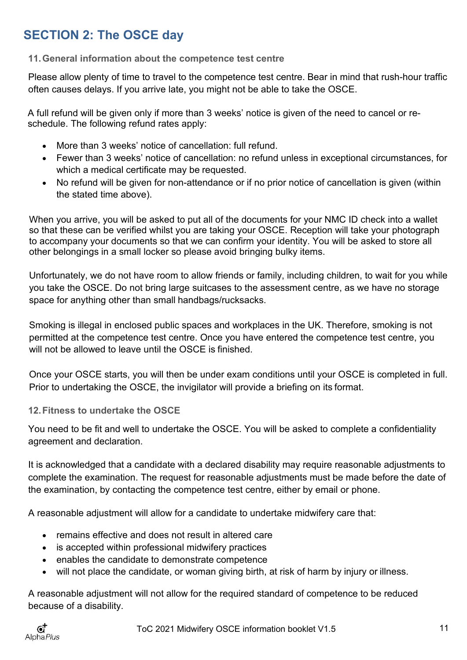# <span id="page-10-0"></span>**SECTION 2: The OSCE day**

## <span id="page-10-1"></span>**11.General information about the competence test centre**

Please allow plenty of time to travel to the competence test centre. Bear in mind that rush-hour traffic often causes delays. If you arrive late, you might not be able to take the OSCE.

A full refund will be given only if more than 3 weeks' notice is given of the need to cancel or reschedule. The following refund rates apply:

- More than 3 weeks' notice of cancellation: full refund.
- Fewer than 3 weeks' notice of cancellation: no refund unless in exceptional circumstances, for which a medical certificate may be requested.
- No refund will be given for non-attendance or if no prior notice of cancellation is given (within the stated time above).

When you arrive, you will be asked to put all of the documents for your NMC ID check into a wallet so that these can be verified whilst you are taking your OSCE. Reception will take your photograph to accompany your documents so that we can confirm your identity. You will be asked to store all other belongings in a small locker so please avoid bringing bulky items.

Unfortunately, we do not have room to allow friends or family, including children, to wait for you while you take the OSCE. Do not bring large suitcases to the assessment centre, as we have no storage space for anything other than small handbags/rucksacks.

Smoking is illegal in enclosed public spaces and workplaces in the UK. Therefore, smoking is not permitted at the competence test centre. Once you have entered the competence test centre, you will not be allowed to leave until the OSCF is finished.

Once your OSCE starts, you will then be under exam conditions until your OSCE is completed in full. Prior to undertaking the OSCE, the invigilator will provide a briefing on its format.

## <span id="page-10-2"></span>**12.Fitness to undertake the OSCE**

You need to be fit and well to undertake the OSCE. You will be asked to complete a confidentiality agreement and declaration.

It is acknowledged that a candidate with a declared disability may require reasonable adjustments to complete the examination. The request for reasonable adjustments must be made before the date of the examination, by contacting the competence test centre, either by email or phone.

A reasonable adjustment will allow for a candidate to undertake midwifery care that:

- remains effective and does not result in altered care
- is accepted within professional midwifery practices
- enables the candidate to demonstrate competence
- will not place the candidate, or woman giving birth, at risk of harm by injury or illness.

A reasonable adjustment will not allow for the required standard of competence to be reduced because of a disability.

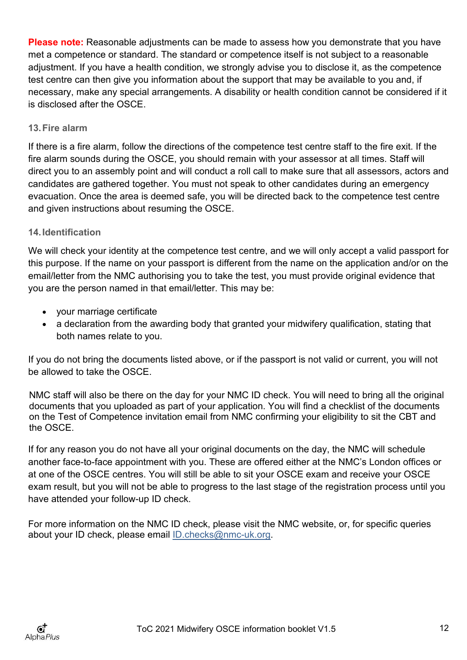**Please note:** Reasonable adjustments can be made to assess how you demonstrate that you have met a competence or standard. The standard or competence itself is not subject to a reasonable adjustment. If you have a health condition, we strongly advise you to disclose it, as the competence test centre can then give you information about the support that may be available to you and, if necessary, make any special arrangements. A disability or health condition cannot be considered if it is disclosed after the OSCE.

## <span id="page-11-0"></span>**13.Fire alarm**

If there is a fire alarm, follow the directions of the competence test centre staff to the fire exit. If the fire alarm sounds during the OSCE, you should remain with your assessor at all times. Staff will direct you to an assembly point and will conduct a roll call to make sure that all assessors, actors and candidates are gathered together. You must not speak to other candidates during an emergency evacuation. Once the area is deemed safe, you will be directed back to the competence test centre and given instructions about resuming the OSCE.

## <span id="page-11-1"></span>**14.Identification**

We will check your identity at the competence test centre, and we will only accept a valid passport for this purpose. If the name on your passport is different from the name on the application and/or on the email/letter from the NMC authorising you to take the test, you must provide original evidence that you are the person named in that email/letter. This may be:

- your marriage certificate
- a declaration from the awarding body that granted your midwifery qualification, stating that both names relate to you.

If you do not bring the documents listed above, or if the passport is not valid or current, you will not be allowed to take the OSCE.

NMC staff will also be there on the day for your NMC ID check. You will need to bring all the original documents that you uploaded as part of your application. You will find a checklist of the documents on the Test of Competence invitation email from NMC confirming your eligibility to sit the CBT and the OSCE.

If for any reason you do not have all your original documents on the day, the NMC will schedule another face-to-face appointment with you. These are offered either at the NMC's London offices or at one of the OSCE centres. You will still be able to sit your OSCE exam and receive your OSCE exam result, but you will not be able to progress to the last stage of the registration process until you have attended your follow-up ID check.

<span id="page-11-2"></span>For more information on the NMC ID check, please visit the NMC website, or, for specific queries about your ID check, please email [ID.checks@nmc-uk.org.](mailto:ID.checks@nmc-uk.org.)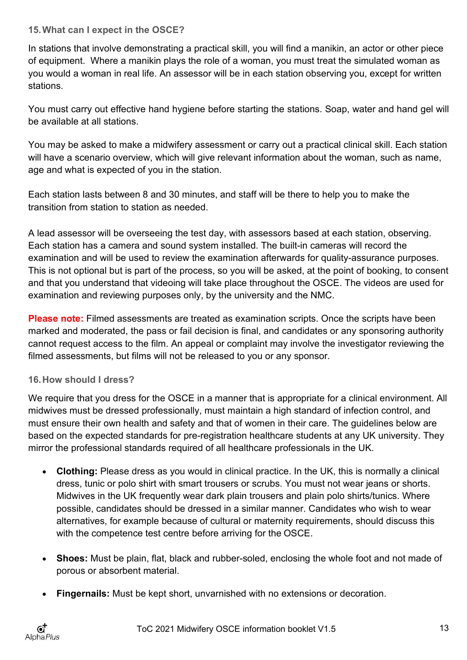## **15.What can I expect in the OSCE?**

In stations that involve demonstrating a practical skill, you will find a manikin, an actor or other piece of equipment. Where a manikin plays the role of a woman, you must treat the simulated woman as you would a woman in real life. An assessor will be in each station observing you, except for written stations.

You must carry out effective hand hygiene before starting the stations. Soap, water and hand gel will be available at all stations.

You may be asked to make a midwifery assessment or carry out a practical clinical skill. Each station will have a scenario overview, which will give relevant information about the woman, such as name, age and what is expected of you in the station.

Each station lasts between 8 and 30 minutes, and staff will be there to help you to make the transition from station to station as needed.

A lead assessor will be overseeing the test day, with assessors based at each station, observing. Each station has a camera and sound system installed. The built-in cameras will record the examination and will be used to review the examination afterwards for quality-assurance purposes. This is not optional but is part of the process, so you will be asked, at the point of booking, to consent and that you understand that videoing will take place throughout the OSCE. The videos are used for examination and reviewing purposes only, by the university and the NMC.

**Please note:** Filmed assessments are treated as examination scripts. Once the scripts have been marked and moderated, the pass or fail decision is final, and candidates or any sponsoring authority cannot request access to the film. An appeal or complaint may involve the investigator reviewing the filmed assessments, but films will not be released to you or any sponsor.

## <span id="page-12-0"></span>**16.How should I dress?**

We require that you dress for the OSCE in a manner that is appropriate for a clinical environment. All midwives must be dressed professionally, must maintain a high standard of infection control, and must ensure their own health and safety and that of women in their care. The guidelines below are based on the expected standards for pre-registration healthcare students at any UK university. They mirror the professional standards required of all healthcare professionals in the UK.

- **Clothing:** Please dress as you would in clinical practice. In the UK, this is normally a clinical dress, tunic or polo shirt with smart trousers or scrubs. You must not wear jeans or shorts. Midwives in the UK frequently wear dark plain trousers and plain polo shirts/tunics. Where possible, candidates should be dressed in a similar manner. Candidates who wish to wear alternatives, for example because of cultural or maternity requirements, should discuss this with the competence test centre before arriving for the OSCE.
- **Shoes:** Must be plain, flat, black and rubber-soled, enclosing the whole foot and not made of porous or absorbent material.
- **Fingernails:** Must be kept short, unvarnished with no extensions or decoration.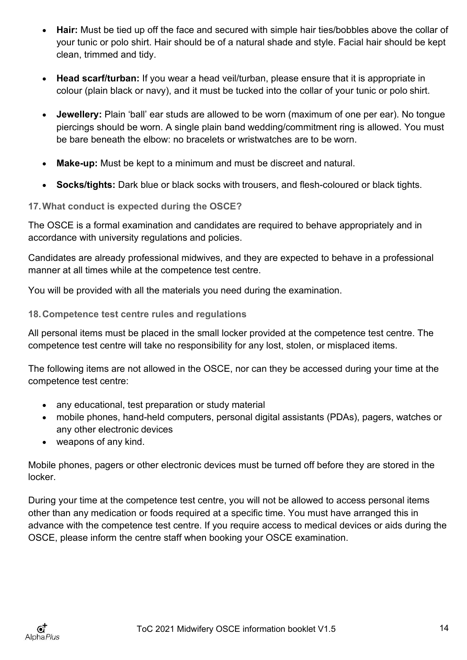- **Hair:** Must be tied up off the face and secured with simple hair ties/bobbles above the collar of your tunic or polo shirt. Hair should be of a natural shade and style. Facial hair should be kept clean, trimmed and tidy.
- **Head scarf/turban:** If you wear a head veil/turban, please ensure that it is appropriate in colour (plain black or navy), and it must be tucked into the collar of your tunic or polo shirt.
- **Jewellery:** Plain 'ball' ear studs are allowed to be worn (maximum of one per ear). No tongue piercings should be worn. A single plain band wedding/commitment ring is allowed. You must be bare beneath the elbow: no bracelets or wristwatches are to be worn.
- **Make-up:** Must be kept to a minimum and must be discreet and natural.
- **Socks/tights:** Dark blue or black socks with trousers, and flesh-coloured or black tights.

## <span id="page-13-0"></span>**17.What conduct is expected during the OSCE?**

The OSCE is a formal examination and candidates are required to behave appropriately and in accordance with university regulations and policies.

Candidates are already professional midwives, and they are expected to behave in a professional manner at all times while at the competence test centre.

You will be provided with all the materials you need during the examination.

## <span id="page-13-1"></span>**18.Competence test centre rules and regulations**

All personal items must be placed in the small locker provided at the competence test centre. The competence test centre will take no responsibility for any lost, stolen, or misplaced items.

The following items are not allowed in the OSCE, nor can they be accessed during your time at the competence test centre:

- any educational, test preparation or study material
- mobile phones, hand-held computers, personal digital assistants (PDAs), pagers, watches or any other electronic devices
- weapons of any kind.

Mobile phones, pagers or other electronic devices must be turned off before they are stored in the locker.

During your time at the competence test centre, you will not be allowed to access personal items other than any medication or foods required at a specific time. You must have arranged this in advance with the competence test centre. If you require access to medical devices or aids during the OSCE, please inform the centre staff when booking your OSCE examination.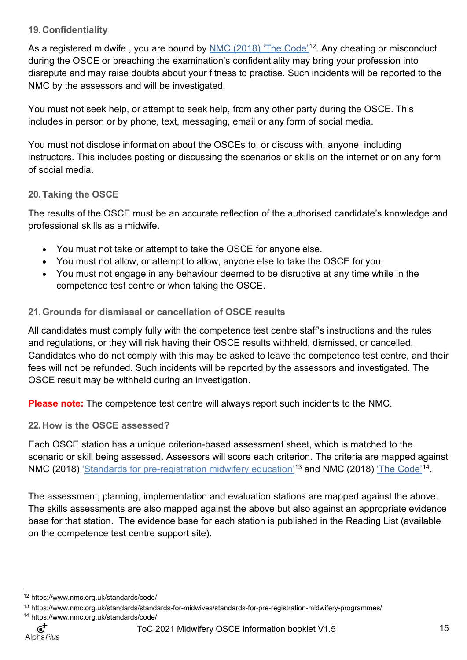## <span id="page-14-0"></span>**19.Confidentiality**

As a registered midwife , you are bound by <u>NMC (2018) 'The Code'</u>[12.](#page-14-4) Any cheating or misconduct during the OSCE or breaching the examination's confidentiality may bring your profession into disrepute and may raise doubts about your fitness to practise. Such incidents will be reported to the NMC by the assessors and will be investigated.

You must not seek help, or attempt to seek help, from any other party during the OSCE. This includes in person or by phone, text, messaging, email or any form of social media.

You must not disclose information about the OSCEs to, or discuss with, anyone, including instructors. This includes posting or discussing the scenarios or skills on the internet or on any form of social media.

## <span id="page-14-1"></span>**20.Taking the OSCE**

The results of the OSCE must be an accurate reflection of the authorised candidate's knowledge and professional skills as a midwife.

- You must not take or attempt to take the OSCE for anyone else.
- You must not allow, or attempt to allow, anyone else to take the OSCE for you.
- You must not engage in any behaviour deemed to be disruptive at any time while in the competence test centre or when taking the OSCE.

## <span id="page-14-2"></span>**21.Grounds for dismissal or cancellation of OSCE results**

All candidates must comply fully with the competence test centre staff's instructions and the rules and regulations, or they will risk having their OSCE results withheld, dismissed, or cancelled. Candidates who do not comply with this may be asked to leave the competence test centre, and their fees will not be refunded. Such incidents will be reported by the assessors and investigated. The OSCE result may be withheld during an investigation.

**Please note:** The competence test centre will always report such incidents to the NMC.

<span id="page-14-3"></span>**22.How is the OSCE assessed?**

Each OSCE station has a unique criterion-based assessment sheet, which is matched to the scenario or skill being assessed. Assessors will score each criterion. The criteria are mapped against NMC (2018) '<u>Standards for pre-registration midwifery education'</u>[13](#page-14-5) and [NMC \(2018\)](https://www.nmc.org.uk/standards/code/) <u>'The Code'</u>[14.](#page-14-6)

The assessment, planning, implementation and evaluation stations are mapped against the above. The skills assessments are also mapped against the above but also against an appropriate evidence base for that station. The evidence base for each station is published in the Reading List (available on the competence test centre support site).

 $\mathbf{G}^{\mathbf{+}}$ Alpha Plus

<span id="page-14-4"></span><sup>12</sup> <https://www.nmc.org.uk/standards/code/>

<span id="page-14-6"></span><span id="page-14-5"></span><sup>13</sup> https://www.nmc.org.uk/standards/standards-for-midwives/standards-for-pre-registration-midwifery-programmes/ <sup>14</sup> https[://www.nmc.org.uk/standards/code/](http://www.nmc.org.uk/standards/code/)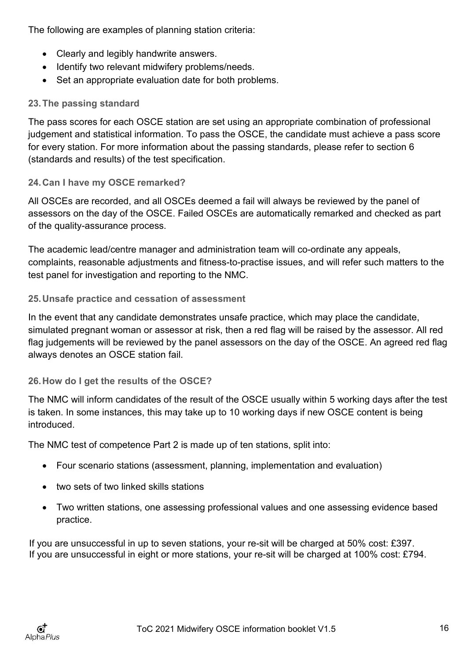The following are examples of planning station criteria:

- Clearly and legibly handwrite answers.
- Identify two relevant midwifery problems/needs.
- Set an appropriate evaluation date for both problems.

## <span id="page-15-0"></span>**23.The passing standard**

The pass scores for each OSCE station are set using an appropriate combination of professional judgement and statistical information. To pass the OSCE, the candidate must achieve a pass score for every station. For more information about the passing standards, please refer to section 6 (standards and results) of the test specification.

## <span id="page-15-1"></span>**24.Can I have my OSCE remarked?**

All OSCEs are recorded, and all OSCEs deemed a fail will always be reviewed by the panel of assessors on the day of the OSCE. Failed OSCEs are automatically remarked and checked as part of the quality-assurance process.

The academic lead/centre manager and administration team will co-ordinate any appeals, complaints, reasonable adjustments and fitness-to-practise issues, and will refer such matters to the test panel for investigation and reporting to the NMC.

## <span id="page-15-2"></span>**25.Unsafe practice and cessation of assessment**

In the event that any candidate demonstrates unsafe practice, which may place the candidate, simulated pregnant woman or assessor at risk, then a red flag will be raised by the assessor. All red flag judgements will be reviewed by the panel assessors on the day of the OSCE. An agreed red flag always denotes an OSCE station fail.

## <span id="page-15-3"></span>**26.How do I get the results of the OSCE?**

The NMC will inform candidates of the result of the OSCE usually within 5 working days after the test is taken. In some instances, this may take up to 10 working days if new OSCE content is being introduced.

The NMC test of competence Part 2 is made up of ten stations, split into:

- Four scenario stations (assessment, planning, implementation and evaluation)
- two sets of two linked skills stations
- Two written stations, one assessing professional values and one assessing evidence based practice.

<span id="page-15-4"></span>If you are unsuccessful in up to seven stations, your re-sit will be charged at 50% cost: £397. If you are unsuccessful in eight or more stations, your re-sit will be charged at 100% cost: £794.

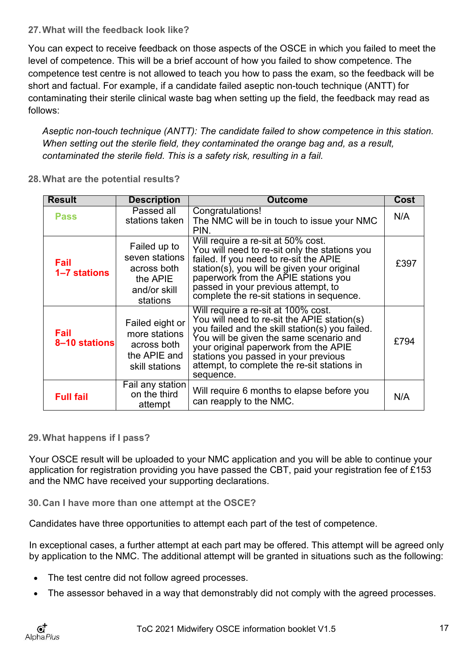## **27.What will the feedback look like?**

You can expect to receive feedback on those aspects of the OSCE in which you failed to meet the level of competence. This will be a brief account of how you failed to show competence. The competence test centre is not allowed to teach you how to pass the exam, so the feedback will be short and factual. For example, if a candidate failed aseptic non-touch technique (ANTT) for contaminating their sterile clinical waste bag when setting up the field, the feedback may read as follows:

*Aseptic non-touch technique (ANTT): The candidate failed to show competence in this station. When setting out the sterile field, they contaminated the orange bag and, as a result, contaminated the sterile field. This is a safety risk, resulting in a fail.*

| <b>Result</b>         | <b>Description</b>                                                                    | <b>Outcome</b>                                                                                                                                                                                                                                                                                                                | Cost |
|-----------------------|---------------------------------------------------------------------------------------|-------------------------------------------------------------------------------------------------------------------------------------------------------------------------------------------------------------------------------------------------------------------------------------------------------------------------------|------|
| <b>Pass</b>           | Passed all<br>stations taken                                                          | Congratulations!<br>The NMC will be in touch to issue your NMC<br>PIN.                                                                                                                                                                                                                                                        | N/A  |
| Fail<br>1-7 stations  | Failed up to<br>seven stations<br>across both<br>the APIE<br>and/or skill<br>stations | Will require a re-sit at 50% cost.<br>You will need to re-sit only the stations you<br>failed. If you need to re-sit the APIE<br>station(s), you will be given your original<br>paperwork from the APIE stations you<br>passed in your previous attempt, to<br>complete the re-sit stations in sequence.                      | £397 |
| Fail<br>8-10 stations | Failed eight or<br>more stations<br>across both<br>the APIE and<br>skill stations     | Will require a re-sit at 100% cost.<br>You will need to re-sit the APIE station(s)<br>you failed and the skill station(s) you failed.<br>You will be given the same scenario and<br>your original paperwork from the APIE<br>stations you passed in your previous<br>attempt, to complete the re-sit stations in<br>sequence. | £794 |
| <b>Full fail</b>      | Fail any station<br>on the third<br>attempt                                           | Will require 6 months to elapse before you<br>can reapply to the NMC.                                                                                                                                                                                                                                                         | N/A  |

## <span id="page-16-0"></span>**28.What are the potential results?**

## <span id="page-16-1"></span>**29.What happens if I pass?**

Your OSCE result will be uploaded to your NMC application and you will be able to continue your application for registration providing you have passed the CBT, paid your registration fee of £153 and the NMC have received your supporting declarations.

<span id="page-16-2"></span>**30.Can I have more than one attempt at the OSCE?**

Candidates have three opportunities to attempt each part of the test of competence.

In exceptional cases, a further attempt at each part may be offered. This attempt will be agreed only by application to the NMC. The additional attempt will be granted in situations such as the following:

- The test centre did not follow agreed processes.
- The assessor behaved in a way that demonstrably did not comply with the agreed processes.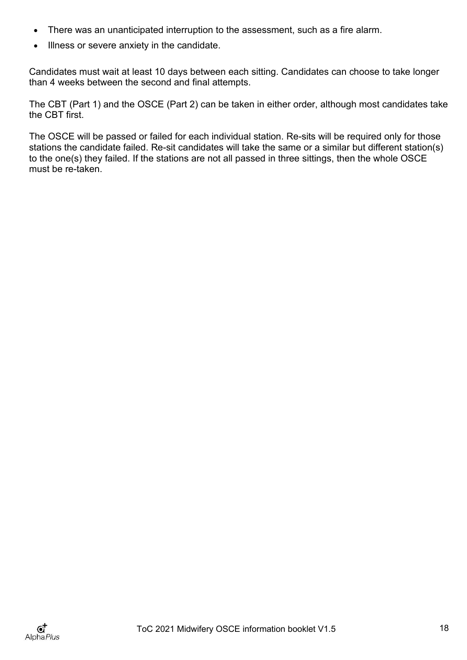- There was an unanticipated interruption to the assessment, such as a fire alarm.
- Illness or severe anxiety in the candidate.

Candidates must wait at least 10 days between each sitting. Candidates can choose to take longer than 4 weeks between the second and final attempts.

The CBT (Part 1) and the OSCE (Part 2) can be taken in either order, although most candidates take the CBT first.

The OSCE will be passed or failed for each individual station. Re-sits will be required only for those stations the candidate failed. Re-sit candidates will take the same or a similar but different station(s) to the one(s) they failed. If the stations are not all passed in three sittings, then the whole OSCE must be re-taken.

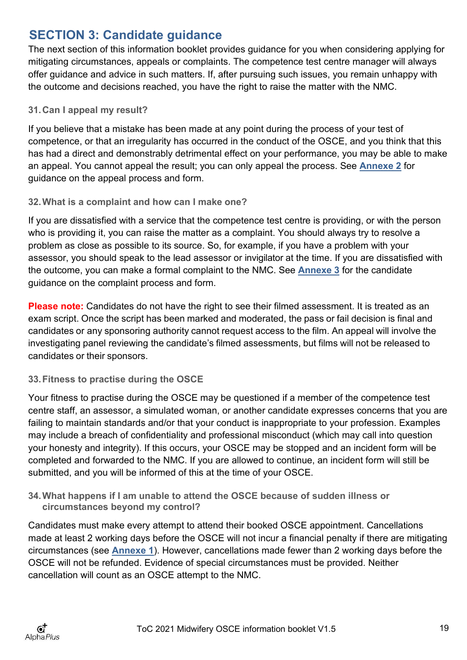## <span id="page-18-0"></span>**SECTION 3: Candidate guidance**

The next section of this information booklet provides guidance for you when considering applying for mitigating circumstances, appeals or complaints. The competence test centre manager will always offer guidance and advice in such matters. If, after pursuing such issues, you remain unhappy with the outcome and decisions reached, you have the right to raise the matter with the NMC.

## <span id="page-18-1"></span>**31.Can I appeal my result?**

If you believe that a mistake has been made at any point during the process of your test of competence, or that an irregularity has occurred in the conduct of the OSCE, and you think that this has had a direct and demonstrably detrimental effect on your performance, you may be able to make an appeal. You cannot appeal the result; you can only appeal the process. See **[Annexe 2](#page-25-0)** for guidance on the appeal process and form.

## <span id="page-18-2"></span>**32.What is a complaint and how can I make one?**

If you are dissatisfied with a service that the competence test centre is providing, or with the person who is providing it, you can raise the matter as a complaint. You should always try to resolve a problem as close as possible to its source. So, for example, if you have a problem with your assessor, you should speak to the lead assessor or invigilator at the time. If you are dissatisfied with the outcome, you can make a formal complaint to the NMC. See **[Annexe 3](#page-29-0)** for the candidate guidance on the complaint process and form.

**Please note:** Candidates do not have the right to see their filmed assessment. It is treated as an exam script. Once the script has been marked and moderated, the pass or fail decision is final and candidates or any sponsoring authority cannot request access to the film. An appeal will involve the investigating panel reviewing the candidate's filmed assessments, but films will not be released to candidates or their sponsors.

## <span id="page-18-3"></span>**33.Fitness to practise during the OSCE**

Your fitness to practise during the OSCE may be questioned if a member of the competence test centre staff, an assessor, a simulated woman, or another candidate expresses concerns that you are failing to maintain standards and/or that your conduct is inappropriate to your profession. Examples may include a breach of confidentiality and professional misconduct (which may call into question your honesty and integrity). If this occurs, your OSCE may be stopped and an incident form will be completed and forwarded to the NMC. If you are allowed to continue, an incident form will still be submitted, and you will be informed of this at the time of your OSCE.

## <span id="page-18-4"></span>**34.What happens if I am unable to attend the OSCE because of sudden illness or circumstances beyond my control?**

Candidates must make every attempt to attend their booked OSCE appointment. Cancellations made at least 2 working days before the OSCE will not incur a financial penalty if there are mitigating circumstances (see **[Annexe 1](#page-22-0)**). However, cancellations made fewer than 2 working days before the OSCE will not be refunded. Evidence of special circumstances must be provided. Neither cancellation will count as an OSCE attempt to the NMC.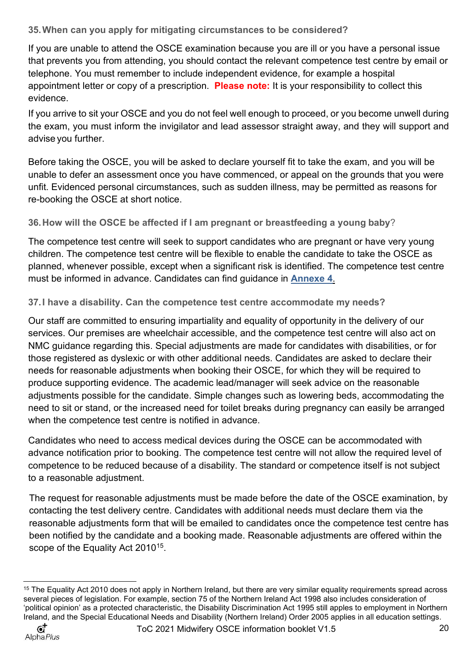<span id="page-19-0"></span>**35.When can you apply for mitigating circumstances to be considered?**

If you are unable to attend the OSCE examination because you are ill or you have a personal issue that prevents you from attending, you should contact the relevant competence test centre by email or telephone. You must remember to include independent evidence, for example a hospital appointment letter or copy of a prescription. **Please note:** It is your responsibility to collect this evidence.

If you arrive to sit your OSCE and you do not feel well enough to proceed, or you become unwell during the exam, you must inform the invigilator and lead assessor straight away, and they will support and advise you further.

Before taking the OSCE, you will be asked to declare yourself fit to take the exam, and you will be unable to defer an assessment once you have commenced, or appeal on the grounds that you were unfit. Evidenced personal circumstances, such as sudden illness, may be permitted as reasons for re-booking the OSCE at short notice.

<span id="page-19-1"></span>**36.How will the OSCE be affected if I am pregnant or breastfeeding a young baby**?

The competence test centre will seek to support candidates who are pregnant or have very young children. The competence test centre will be flexible to enable the candidate to take the OSCE as planned, whenever possible, except when a significant risk is identified. The competence test centre must be informed in advance. Candidates can find guidance in **[Annexe 4](#page-34-0)**.

## <span id="page-19-2"></span>**37.I have a disability. Can the competence test centre accommodate my needs?**

Our staff are committed to ensuring impartiality and equality of opportunity in the delivery of our services. Our premises are wheelchair accessible, and the competence test centre will also act on NMC guidance regarding this. Special adjustments are made for candidates with disabilities, or for those registered as dyslexic or with other additional needs. Candidates are asked to declare their needs for reasonable adjustments when booking their OSCE, for which they will be required to produce supporting evidence. The academic lead/manager will seek advice on the reasonable adjustments possible for the candidate. Simple changes such as lowering beds, accommodating the need to sit or stand, or the increased need for toilet breaks during pregnancy can easily be arranged when the competence test centre is notified in advance.

Candidates who need to access medical devices during the OSCE can be accommodated with advance notification prior to booking. The competence test centre will not allow the required level of competence to be reduced because of a disability. The standard or competence itself is not subject to a reasonable adjustment.

The request for reasonable adjustments must be made before the date of the OSCE examination, by contacting the test delivery centre. Candidates with additional needs must declare them via the reasonable adjustments form that will be emailed to candidates once the competence test centre has been notified by the candidate and a booking made. Reasonable adjustments are offered within the scope of the Equality Act 2010<sup>15</sup>.

<span id="page-19-3"></span><sup>&</sup>lt;sup>15</sup> The Equality Act 2010 does not apply in Northern Ireland, but there are very similar equality requirements spread across several pieces of legislation. For example, section 75 of the Northern Ireland Act 1998 also includes consideration of 'political opinion' as a protected characteristic, the Disability Discrimination Act 1995 still apples to employment in Northern Ireland, and the Special Educational Needs and Disability (Northern Ireland) Order 2005 applies in all education settings.

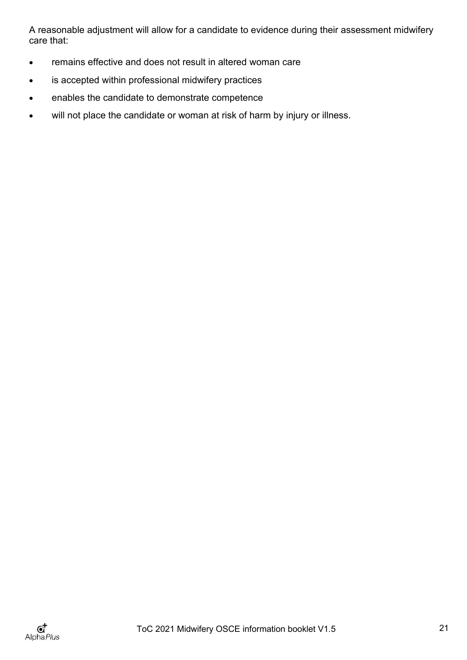A reasonable adjustment will allow for a candidate to evidence during their assessment midwifery care that:

- remains effective and does not result in altered woman care
- is accepted within professional midwifery practices
- enables the candidate to demonstrate competence
- will not place the candidate or woman at risk of harm by injury or illness.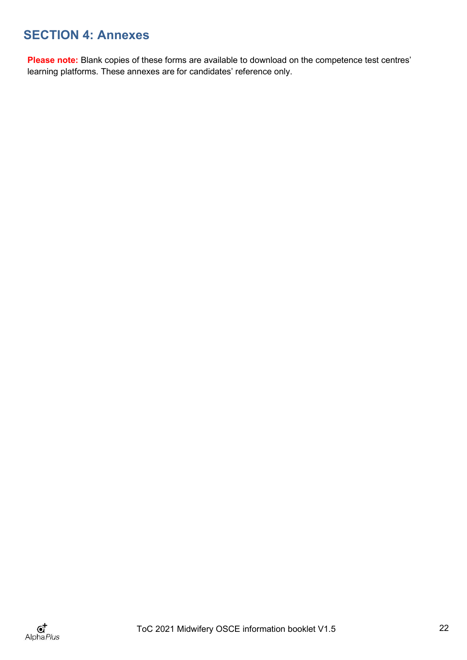# <span id="page-21-0"></span>**SECTION 4: Annexes**

Please note: Blank copies of these forms are available to download on the competence test centres' learning platforms. These annexes are for candidates' reference only.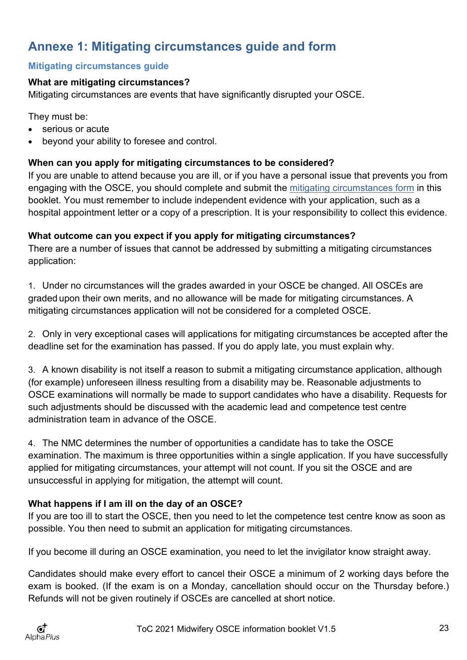# <span id="page-22-0"></span>**Annexe 1: Mitigating circumstances guide and form**

## <span id="page-22-1"></span>**Mitigating circumstances guide**

## **What are mitigating circumstances?**

Mitigating circumstances are events that have significantly disrupted your OSCE.

They must be:

- serious or acute
- beyond your ability to foresee and control.

## **When can you apply for mitigating circumstances to be considered?**

If you are unable to attend because you are ill, or if you have a personal issue that prevents you from engaging with the OSCE, you should complete and submit the [mitigating circumstances form](#page-23-0) in this booklet. You must remember to include independent evidence with your application, such as a hospital appointment letter or a copy of a prescription. It is your responsibility to collect this evidence.

## **What outcome can you expect if you apply for mitigating circumstances?**

There are a number of issues that cannot be addressed by submitting a mitigating circumstances application:

1. Under no circumstances will the grades awarded in your OSCE be changed. All OSCEs are graded upon their own merits, and no allowance will be made for mitigating circumstances. A mitigating circumstances application will not be considered for a completed OSCE.

2. Only in very exceptional cases will applications for mitigating circumstances be accepted after the deadline set for the examination has passed. If you do apply late, you must explain why.

3. A known disability is not itself a reason to submit a mitigating circumstance application, although (for example) unforeseen illness resulting from a disability may be. Reasonable adjustments to OSCE examinations will normally be made to support candidates who have a disability. Requests for such adjustments should be discussed with the academic lead and competence test centre administration team in advance of the OSCE.

4. The NMC determines the number of opportunities a candidate has to take the OSCE examination. The maximum is three opportunities within a single application. If you have successfully applied for mitigating circumstances, your attempt will not count. If you sit the OSCE and are unsuccessful in applying for mitigation, the attempt will count.

## **What happens if I am ill on the day of an OSCE?**

If you are too ill to start the OSCE, then you need to let the competence test centre know as soon as possible. You then need to submit an application for mitigating circumstances.

If you become ill during an OSCE examination, you need to let the invigilator know straight away.

Candidates should make every effort to cancel their OSCE a minimum of 2 working days before the exam is booked. (If the exam is on a Monday, cancellation should occur on the Thursday before.) Refunds will not be given routinely if OSCEs are cancelled at short notice.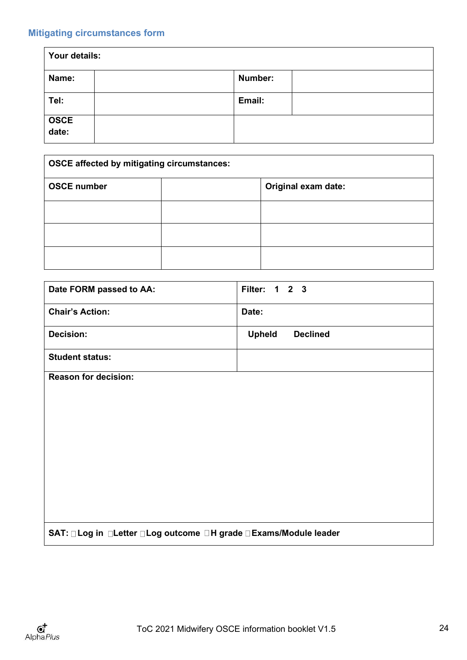## <span id="page-23-0"></span>**Mitigating circumstances form**

| Your details: |         |  |
|---------------|---------|--|
| Name:         | Number: |  |
| Tel:          | Email:  |  |
| OSCE<br>date: |         |  |

| <b>OSCE affected by mitigating circumstances:</b> |  |                     |
|---------------------------------------------------|--|---------------------|
| <b>OSCE number</b>                                |  | Original exam date: |
|                                                   |  |                     |
|                                                   |  |                     |
|                                                   |  |                     |

| Date FORM passed to AA:                                              | Filter: 1 2 3                    |
|----------------------------------------------------------------------|----------------------------------|
| <b>Chair's Action:</b>                                               | Date:                            |
| <b>Decision:</b>                                                     | <b>Upheld</b><br><b>Declined</b> |
| <b>Student status:</b>                                               |                                  |
| <b>Reason for decision:</b>                                          |                                  |
|                                                                      |                                  |
|                                                                      |                                  |
|                                                                      |                                  |
|                                                                      |                                  |
|                                                                      |                                  |
|                                                                      |                                  |
|                                                                      |                                  |
|                                                                      |                                  |
|                                                                      |                                  |
| SAT: □ Log in □ Letter □ Log outcome □ H grade □ Exams/Module leader |                                  |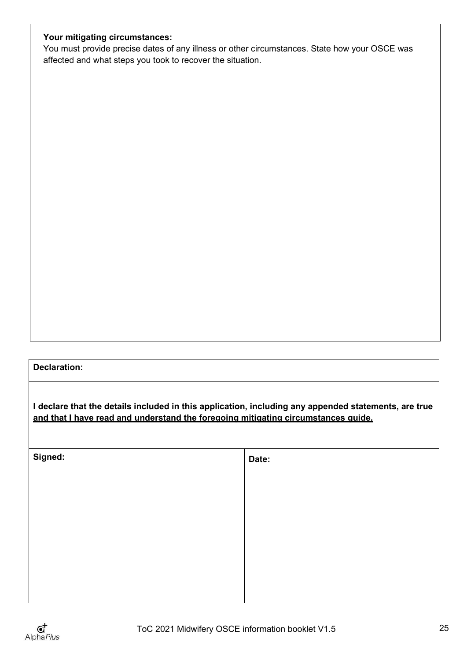## **Your mitigating circumstances:**

You must provide precise dates of any illness or other circumstances. State how your OSCE was affected and what steps you took to recover the situation.

## **Declaration:**

**I declare that the details included in this application, including any appended statements, are true and that I have read and understand the foregoing mitigating circumstances guide.**

| Signed: | Date: |
|---------|-------|
|         |       |
|         |       |
|         |       |
|         |       |
|         |       |
|         |       |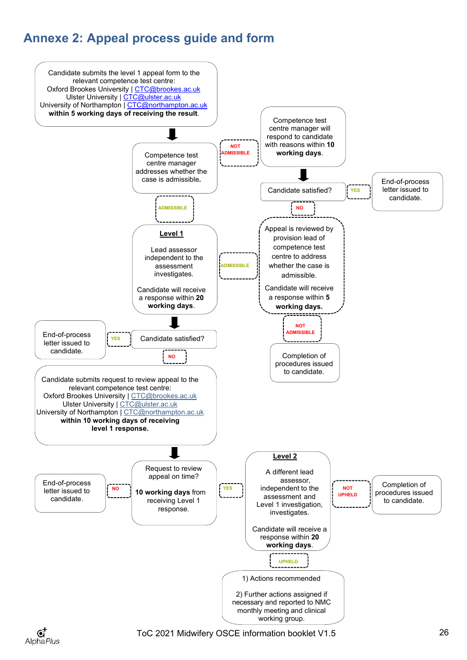# <span id="page-25-0"></span>**Annexe 2: Appeal process guide and form**





ToC 2021 Midwifery OSCE information booklet V1.5 26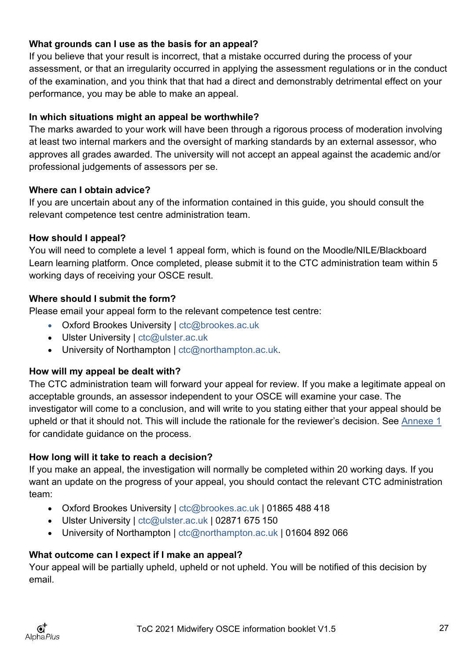## **What grounds can I use as the basis for an appeal?**

If you believe that your result is incorrect, that a mistake occurred during the process of your assessment, or that an irregularity occurred in applying the assessment regulations or in the conduct of the examination, and you think that that had a direct and demonstrably detrimental effect on your performance, you may be able to make an appeal.

## **In which situations might an appeal be worthwhile?**

The marks awarded to your work will have been through a rigorous process of moderation involving at least two internal markers and the oversight of marking standards by an external assessor, who approves all grades awarded. The university will not accept an appeal against the academic and/or professional judgements of assessors per se.

## **Where can I obtain advice?**

If you are uncertain about any of the information contained in this guide, you should consult the relevant competence test centre administration team.

## **How should I appeal?**

You will need to complete a level 1 appeal form, which is found on the Moodle/NILE/Blackboard Learn learning platform. Once completed, please submit it to the CTC administration team within 5 working days of receiving your OSCE result.

## **Where should I submit the form?**

Please email your appeal form to the relevant competence test centre:

- Oxford Brookes University | [ctc@brookes.ac.uk](mailto:ctc@brookes.ac.uk)
- Ulster University | [ctc@ulster.ac.uk](mailto:ctc@ulster.ac.uk)
- University of Northampton | [ctc@northampton.ac.uk.](mailto:ctc@northampton.ac.uk)

## **How will my appeal be dealt with?**

The CTC administration team will forward your appeal for review. If you make a legitimate appeal on acceptable grounds, an assessor independent to your OSCE will examine your case. The investigator will come to a conclusion, and will write to you stating either that your appeal should be upheld or that it should not. This will include the rationale for the reviewer's decision. See [Annexe 1](#page-22-0) for candidate guidance on the process.

## **How long will it take to reach a decision?**

If you make an appeal, the investigation will normally be completed within 20 working days. If you want an update on the progress of your appeal, you should contact the relevant CTC administration team:

- Oxford Brookes University | [ctc@brookes.ac.uk |](mailto:ctc@brookes.ac.uk) 01865 488 418
- Ulster University | [ctc@ulster.ac.uk](mailto:ctc@ulster.ac.uk) | 02871 675 150
- University of Northampton | [ctc@northampton.ac.uk](mailto:ctc@northampton.ac.uk) | 01604 892 066

## **What outcome can I expect if I make an appeal?**

Your appeal will be partially upheld, upheld or not upheld. You will be notified of this decision by email.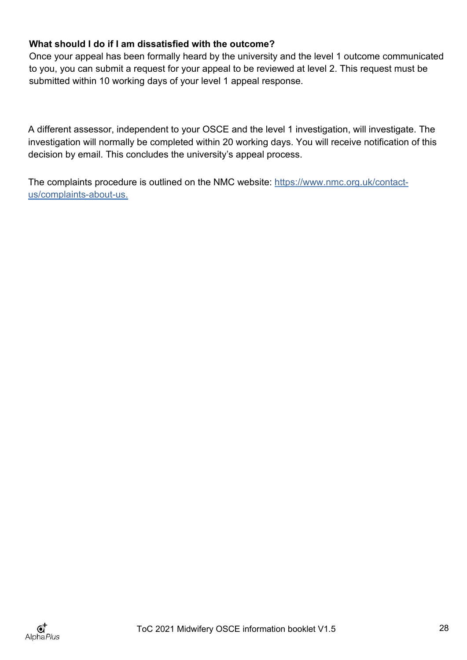## **What should I do if I am dissatisfied with the outcome?**

Once your appeal has been formally heard by the university and the level 1 outcome communicated to you, you can submit a request for your appeal to be reviewed at level 2. This request must be submitted within 10 working days of your level 1 appeal response.

A different assessor, independent to your OSCE and the level 1 investigation, will investigate. The investigation will normally be completed within 20 working days. You will receive notification of this decision by email. This concludes the university's appeal process.

The complaints procedure is outlined on the NMC website: [https://www.nmc.org.uk/contact](https://www.nmc.org.uk/contact-us/complaints-about-us)[us/complaints-about-us.](https://www.nmc.org.uk/contact-us/complaints-about-us)

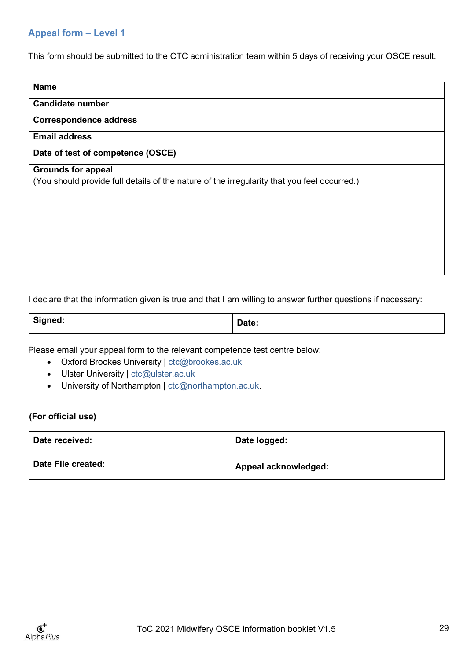## <span id="page-28-0"></span>**Appeal form – Level 1**

This form should be submitted to the CTC administration team within 5 days of receiving your OSCE result.

| <b>Name</b>                                                                                 |  |  |
|---------------------------------------------------------------------------------------------|--|--|
| <b>Candidate number</b>                                                                     |  |  |
| <b>Correspondence address</b>                                                               |  |  |
| <b>Email address</b>                                                                        |  |  |
| Date of test of competence (OSCE)                                                           |  |  |
| <b>Grounds for appeal</b>                                                                   |  |  |
| (You should provide full details of the nature of the irregularity that you feel occurred.) |  |  |
|                                                                                             |  |  |
|                                                                                             |  |  |
|                                                                                             |  |  |
|                                                                                             |  |  |
|                                                                                             |  |  |
|                                                                                             |  |  |
|                                                                                             |  |  |

I declare that the information given is true and that I am willing to answer further questions if necessary:

| Signed: | $R = 1$<br><b>Date:</b> |
|---------|-------------------------|
|---------|-------------------------|

Please email your appeal form to the relevant competence test centre below:

- Oxford Brookes University | [ctc@brookes.ac.uk](mailto:ctc@brookes.ac.uk)
- Ulster University | [ctc@ulster.ac.uk](mailto:ctc@ulster.ac.uk)
- University of Northampton | [ctc@northampton.ac.uk.](mailto:ctc@northampton.ac.uk)

#### **(For official use)**

| Date received:     | Date logged:         |
|--------------------|----------------------|
| Date File created: | Appeal acknowledged: |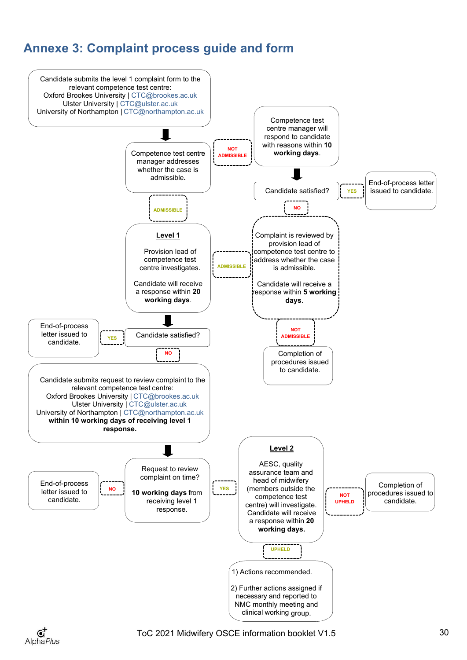# <span id="page-29-0"></span>**Annexe 3: Complaint process guide and form**



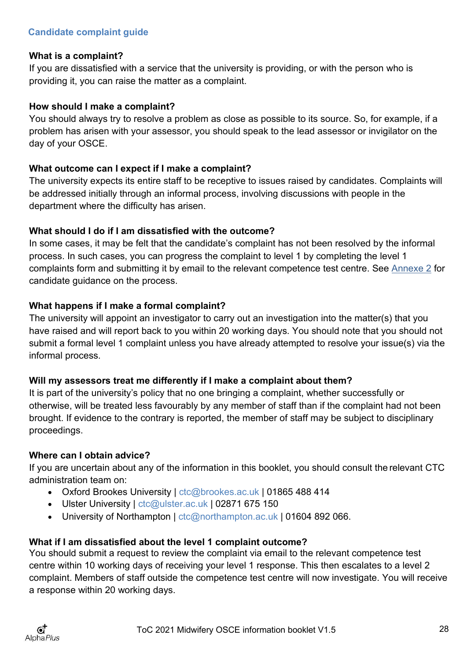## <span id="page-30-0"></span>**What is a complaint?**

If you are dissatisfied with a service that the university is providing, or with the person who is providing it, you can raise the matter as a complaint.

## **How should I make a complaint?**

You should always try to resolve a problem as close as possible to its source. So, for example, if a problem has arisen with your assessor, you should speak to the lead assessor or invigilator on the day of your OSCE.

## **What outcome can I expect if I make a complaint?**

The university expects its entire staff to be receptive to issues raised by candidates. Complaints will be addressed initially through an informal process, involving discussions with people in the department where the difficulty has arisen.

## **What should I do if I am dissatisfied with the outcome?**

In some cases, it may be felt that the candidate's complaint has not been resolved by the informal process. In such cases, you can progress the complaint to level 1 by completing the level 1 complaints form and submitting it by email to the relevant competence test centre. See [Annexe 2](#page-25-0) for candidate guidance on the process.

## **What happens if I make a formal complaint?**

The university will appoint an investigator to carry out an investigation into the matter(s) that you have raised and will report back to you within 20 working days. You should note that you should not submit a formal level 1 complaint unless you have already attempted to resolve your issue(s) via the informal process.

## **Will my assessors treat me differently if I make a complaint about them?**

It is part of the university's policy that no one bringing a complaint, whether successfully or otherwise, will be treated less favourably by any member of staff than if the complaint had not been brought. If evidence to the contrary is reported, the member of staff may be subject to disciplinary proceedings.

## **Where can I obtain advice?**

If you are uncertain about any of the information in this booklet, you should consult the relevant CTC administration team on:

- Oxford Brookes University | [ctc@brookes.ac.uk |](mailto:ctc@brookes.ac.uk) 01865 488 414
- Ulster University | [ctc@ulster.ac.uk |](mailto:ctc@ulster.ac.uk) 02871 675 150
- University of Northampton | [ctc@northampton.ac.uk |](mailto:ctc@northampton.ac.uk) 01604 892 066.

## **What if I am dissatisfied about the level 1 complaint outcome?**

You should submit a request to review the complaint via email to the relevant competence test centre within 10 working days of receiving your level 1 response. This then escalates to a level 2 complaint. Members of staff outside the competence test centre will now investigate. You will receive a response within 20 working days.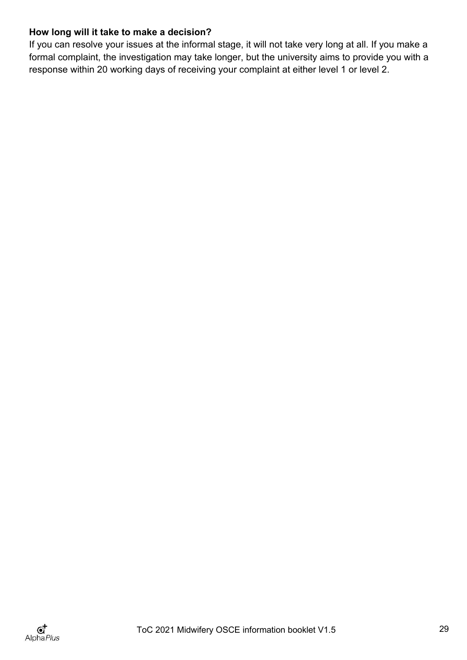## **How long will it take to make a decision?**

If you can resolve your issues at the informal stage, it will not take very long at all. If you make a formal complaint, the investigation may take longer, but the university aims to provide you with a response within 20 working days of receiving your complaint at either level 1 or level 2.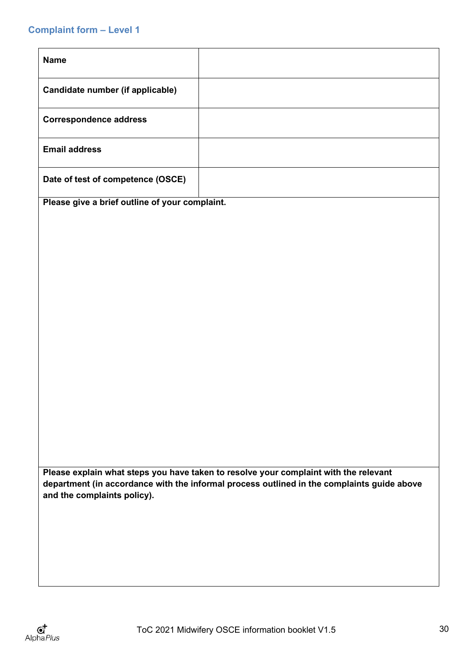## <span id="page-32-0"></span>**Complaint form – Level 1**

| <b>Name</b>                       |  |
|-----------------------------------|--|
| Candidate number (if applicable)  |  |
| <b>Correspondence address</b>     |  |
| <b>Email address</b>              |  |
| Date of test of competence (OSCE) |  |

**Please give a brief outline of your complaint.**

**Please explain what steps you have taken to resolve your complaint with the relevant department (in accordance with the informal process outlined in the complaints guide above and the complaints policy).**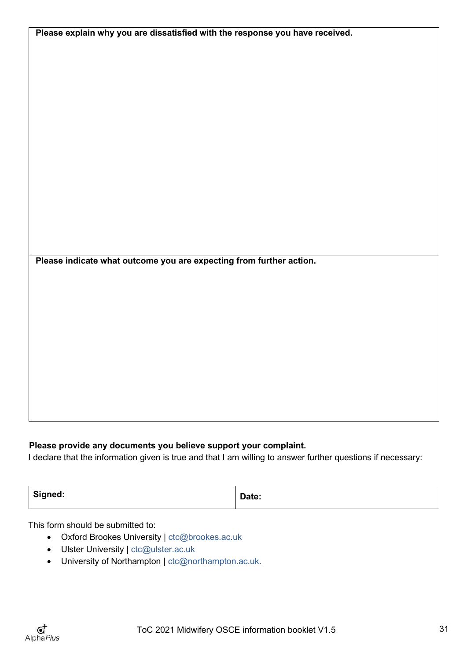| Please explain why you are dissatisfied with the response you have received. |  |  |
|------------------------------------------------------------------------------|--|--|
|                                                                              |  |  |
|                                                                              |  |  |
|                                                                              |  |  |
|                                                                              |  |  |
|                                                                              |  |  |
|                                                                              |  |  |
|                                                                              |  |  |
|                                                                              |  |  |
|                                                                              |  |  |
|                                                                              |  |  |
|                                                                              |  |  |
|                                                                              |  |  |
|                                                                              |  |  |
|                                                                              |  |  |
|                                                                              |  |  |
|                                                                              |  |  |
|                                                                              |  |  |
|                                                                              |  |  |
| Please indicate what outcome you are expecting from further action.          |  |  |
|                                                                              |  |  |
|                                                                              |  |  |
|                                                                              |  |  |
|                                                                              |  |  |
|                                                                              |  |  |
|                                                                              |  |  |
|                                                                              |  |  |
|                                                                              |  |  |
|                                                                              |  |  |
|                                                                              |  |  |
|                                                                              |  |  |
|                                                                              |  |  |

## **Please provide any documents you believe support your complaint.**

I declare that the information given is true and that I am willing to answer further questions if necessary:

| Signed: | Date: |
|---------|-------|
|         |       |

This form should be submitted to:

- Oxford Brookes University | [ctc@brookes.ac.uk](mailto:ctc@brookes.ac.uk)
- Ulster University | [ctc@ulster.ac.uk](mailto:ctc@ulster.ac.uk)
- University of Northampton | [ctc@northampton.ac.uk.](mailto:ctc@northampton.ac.uk)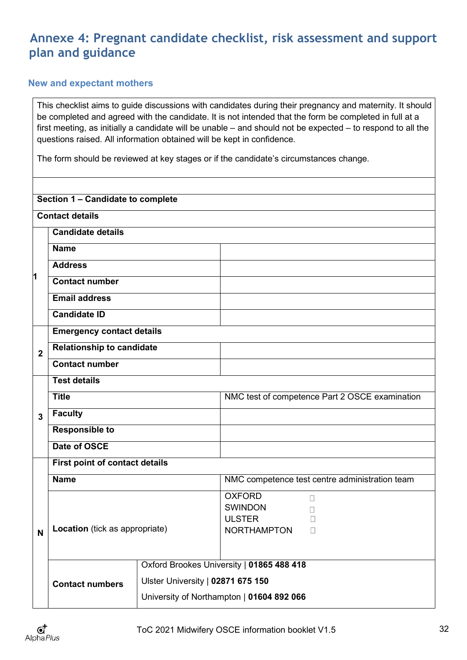## <span id="page-34-0"></span>**Annexe 4: Pregnant candidate checklist, risk assessment and support plan and guidance**

## <span id="page-34-1"></span>**New and expectant mothers**

This checklist aims to guide discussions with candidates during their pregnancy and maternity. It should be completed and agreed with the candidate. It is not intended that the form be completed in full at a first meeting, as initially a candidate will be unable – and should not be expected – to respond to all the questions raised. All information obtained will be kept in confidence.

The form should be reviewed at key stages or if the candidate's circumstances change.

| Section 1 - Candidate to complete |                                  |                                   |                                                                                            |  |  |
|-----------------------------------|----------------------------------|-----------------------------------|--------------------------------------------------------------------------------------------|--|--|
|                                   | <b>Contact details</b>           |                                   |                                                                                            |  |  |
|                                   | <b>Candidate details</b>         |                                   |                                                                                            |  |  |
|                                   | <b>Name</b>                      |                                   |                                                                                            |  |  |
|                                   | <b>Address</b>                   |                                   |                                                                                            |  |  |
| 1                                 | <b>Contact number</b>            |                                   |                                                                                            |  |  |
|                                   | <b>Email address</b>             |                                   |                                                                                            |  |  |
|                                   | <b>Candidate ID</b>              |                                   |                                                                                            |  |  |
| <b>Emergency contact details</b>  |                                  |                                   |                                                                                            |  |  |
| $\overline{2}$                    | <b>Relationship to candidate</b> |                                   |                                                                                            |  |  |
|                                   | <b>Contact number</b>            |                                   |                                                                                            |  |  |
|                                   | <b>Test details</b>              |                                   |                                                                                            |  |  |
|                                   | <b>Title</b>                     |                                   | NMC test of competence Part 2 OSCE examination                                             |  |  |
| 3                                 | <b>Faculty</b>                   |                                   |                                                                                            |  |  |
|                                   | <b>Responsible to</b>            |                                   |                                                                                            |  |  |
|                                   | Date of OSCE                     |                                   |                                                                                            |  |  |
|                                   | First point of contact details   |                                   |                                                                                            |  |  |
|                                   | <b>Name</b>                      |                                   | NMC competence test centre administration team                                             |  |  |
| N                                 | Location (tick as appropriate)   |                                   | <b>OXFORD</b><br>$\Box$<br><b>SWINDON</b><br><b>ULSTER</b><br><b>NORTHAMPTON</b><br>$\Box$ |  |  |
|                                   | <b>Contact numbers</b>           | Ulster University   02871 675 150 | Oxford Brookes University   01865 488 418<br>University of Northampton   01604 892 066     |  |  |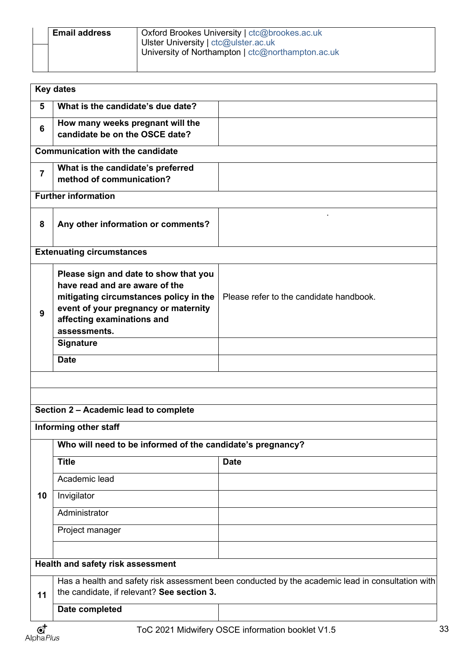| <b>Email address</b> | Oxford Brookes University   ctc@brookes.ac.uk     |  |  |  |  |  |
|----------------------|---------------------------------------------------|--|--|--|--|--|
|                      | Ulster University   ctc@ulster.ac.uk              |  |  |  |  |  |
|                      | University of Northampton   ctc@northampton.ac.uk |  |  |  |  |  |
|                      |                                                   |  |  |  |  |  |

|                                   | <b>Key dates</b>                                                                                                                                                                                                                           |                                                  |    |  |
|-----------------------------------|--------------------------------------------------------------------------------------------------------------------------------------------------------------------------------------------------------------------------------------------|--------------------------------------------------|----|--|
| 5                                 | What is the candidate's due date?                                                                                                                                                                                                          |                                                  |    |  |
| 6                                 | How many weeks pregnant will the<br>candidate be on the OSCE date?                                                                                                                                                                         |                                                  |    |  |
|                                   | <b>Communication with the candidate</b>                                                                                                                                                                                                    |                                                  |    |  |
| 7                                 | What is the candidate's preferred<br>method of communication?                                                                                                                                                                              |                                                  |    |  |
|                                   | <b>Further information</b>                                                                                                                                                                                                                 |                                                  |    |  |
| 8                                 | Any other information or comments?                                                                                                                                                                                                         |                                                  |    |  |
|                                   | <b>Extenuating circumstances</b>                                                                                                                                                                                                           |                                                  |    |  |
| 9                                 | Please sign and date to show that you<br>have read and are aware of the<br>mitigating circumstances policy in the<br>event of your pregnancy or maternity<br>affecting examinations and<br>assessments.<br><b>Signature</b><br><b>Date</b> | Please refer to the candidate handbook.          |    |  |
|                                   |                                                                                                                                                                                                                                            |                                                  |    |  |
|                                   |                                                                                                                                                                                                                                            |                                                  |    |  |
|                                   | Section 2 - Academic lead to complete                                                                                                                                                                                                      |                                                  |    |  |
|                                   | Informing other staff                                                                                                                                                                                                                      |                                                  |    |  |
|                                   | Who will need to be informed of the candidate's pregnancy?                                                                                                                                                                                 |                                                  |    |  |
|                                   | <b>Title</b>                                                                                                                                                                                                                               | <b>Date</b>                                      |    |  |
|                                   | Academic lead                                                                                                                                                                                                                              |                                                  |    |  |
| 10                                | Invigilator                                                                                                                                                                                                                                |                                                  |    |  |
|                                   | Administrator                                                                                                                                                                                                                              |                                                  |    |  |
|                                   | Project manager                                                                                                                                                                                                                            |                                                  |    |  |
|                                   |                                                                                                                                                                                                                                            |                                                  |    |  |
| Health and safety risk assessment |                                                                                                                                                                                                                                            |                                                  |    |  |
| 11                                | Has a health and safety risk assessment been conducted by the academic lead in consultation with<br>the candidate, if relevant? See section 3.                                                                                             |                                                  |    |  |
|                                   | Date completed                                                                                                                                                                                                                             |                                                  |    |  |
| $\mathbf{G}^{\mathbf{+}}$         |                                                                                                                                                                                                                                            | ToC 2021 Midwifery OSCE information booklet V1.5 | 33 |  |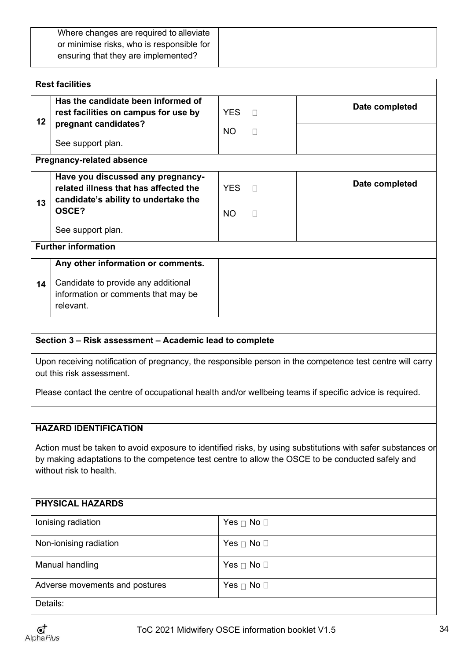| or minimise risks, who is responsible for<br>ensuring that they are implemented? | Where changes are required to alleviate |
|----------------------------------------------------------------------------------|-----------------------------------------|
|                                                                                  |                                         |
|                                                                                  |                                         |

|                                                                                                                                                                                                                                            | <b>Rest facilities</b>                                                                                                                                                                                                                            |                         |                        |                |  |
|--------------------------------------------------------------------------------------------------------------------------------------------------------------------------------------------------------------------------------------------|---------------------------------------------------------------------------------------------------------------------------------------------------------------------------------------------------------------------------------------------------|-------------------------|------------------------|----------------|--|
| 12                                                                                                                                                                                                                                         | Has the candidate been informed of<br>rest facilities on campus for use by<br>pregnant candidates?<br>See support plan.                                                                                                                           | <b>YES</b><br><b>NO</b> | П<br>□                 | Date completed |  |
|                                                                                                                                                                                                                                            | <b>Pregnancy-related absence</b>                                                                                                                                                                                                                  |                         |                        |                |  |
| 13                                                                                                                                                                                                                                         | Have you discussed any pregnancy-<br>related illness that has affected the<br>candidate's ability to undertake the<br>OSCE?                                                                                                                       | <b>YES</b>              | $\Box$                 | Date completed |  |
|                                                                                                                                                                                                                                            | See support plan.                                                                                                                                                                                                                                 | <b>NO</b>               | П                      |                |  |
|                                                                                                                                                                                                                                            | <b>Further information</b>                                                                                                                                                                                                                        |                         |                        |                |  |
|                                                                                                                                                                                                                                            | Any other information or comments.                                                                                                                                                                                                                |                         |                        |                |  |
| 14                                                                                                                                                                                                                                         | Candidate to provide any additional<br>information or comments that may be<br>relevant.                                                                                                                                                           |                         |                        |                |  |
|                                                                                                                                                                                                                                            |                                                                                                                                                                                                                                                   |                         |                        |                |  |
|                                                                                                                                                                                                                                            | Section 3 - Risk assessment - Academic lead to complete                                                                                                                                                                                           |                         |                        |                |  |
|                                                                                                                                                                                                                                            | Upon receiving notification of pregnancy, the responsible person in the competence test centre will carry<br>out this risk assessment.<br>Please contact the centre of occupational health and/or wellbeing teams if specific advice is required. |                         |                        |                |  |
|                                                                                                                                                                                                                                            |                                                                                                                                                                                                                                                   |                         |                        |                |  |
|                                                                                                                                                                                                                                            | <b>HAZARD IDENTIFICATION</b>                                                                                                                                                                                                                      |                         |                        |                |  |
| Action must be taken to avoid exposure to identified risks, by using substitutions with safer substances or<br>by making adaptations to the competence test centre to allow the OSCE to be conducted safely and<br>without risk to health. |                                                                                                                                                                                                                                                   |                         |                        |                |  |
| <b>PHYSICAL HAZARDS</b>                                                                                                                                                                                                                    |                                                                                                                                                                                                                                                   |                         |                        |                |  |
|                                                                                                                                                                                                                                            | Ionising radiation                                                                                                                                                                                                                                |                         | Yes $\Box$ No $\Box$   |                |  |
|                                                                                                                                                                                                                                            | Non-ionising radiation                                                                                                                                                                                                                            |                         | Yes $\sqcap$ No $\Box$ |                |  |
|                                                                                                                                                                                                                                            | Manual handling                                                                                                                                                                                                                                   |                         | Yes $\Box$ No $\Box$   |                |  |
|                                                                                                                                                                                                                                            | Adverse movements and postures                                                                                                                                                                                                                    |                         | Yes $\Box$ No $\Box$   |                |  |
| Details:                                                                                                                                                                                                                                   |                                                                                                                                                                                                                                                   |                         |                        |                |  |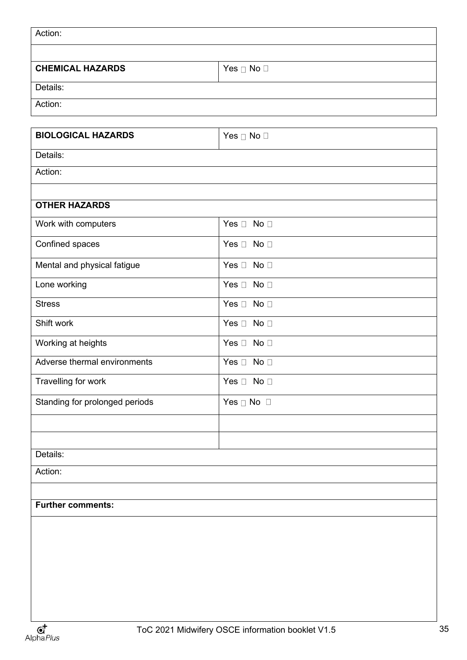| Action:                        |                      |  |  |  |
|--------------------------------|----------------------|--|--|--|
|                                |                      |  |  |  |
| <b>CHEMICAL HAZARDS</b>        | Yes $\Box$ No $\Box$ |  |  |  |
| Details:                       |                      |  |  |  |
| Action:                        |                      |  |  |  |
|                                |                      |  |  |  |
| <b>BIOLOGICAL HAZARDS</b>      | Yes □ No □           |  |  |  |
| Details:                       |                      |  |  |  |
| Action:                        |                      |  |  |  |
| <b>OTHER HAZARDS</b>           |                      |  |  |  |
| Work with computers            | Yes $\Box$ No $\Box$ |  |  |  |
|                                |                      |  |  |  |
| Confined spaces                | Yes $\Box$ No $\Box$ |  |  |  |
| Mental and physical fatigue    | Yes $\Box$ No $\Box$ |  |  |  |
| Lone working                   | Yes $\Box$ No $\Box$ |  |  |  |
| <b>Stress</b>                  | Yes $\Box$ No $\Box$ |  |  |  |
| Shift work                     | Yes $\Box$ No $\Box$ |  |  |  |
| Working at heights             | Yes $\Box$ No $\Box$ |  |  |  |
| Adverse thermal environments   | Yes $\Box$ No $\Box$ |  |  |  |
| Travelling for work            | Yes $\Box$ No $\Box$ |  |  |  |
| Standing for prolonged periods | Yes $\Box$ No $\Box$ |  |  |  |
|                                |                      |  |  |  |
|                                |                      |  |  |  |
| Details:<br>Action:            |                      |  |  |  |
|                                |                      |  |  |  |
| <b>Further comments:</b>       |                      |  |  |  |
|                                |                      |  |  |  |
|                                |                      |  |  |  |
|                                |                      |  |  |  |
|                                |                      |  |  |  |
|                                |                      |  |  |  |
|                                |                      |  |  |  |
|                                |                      |  |  |  |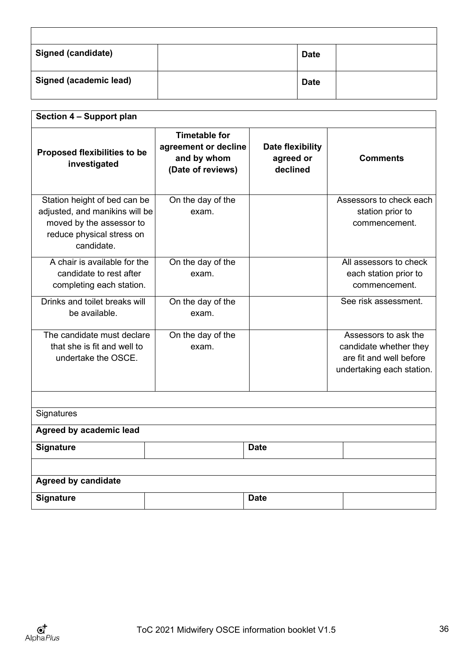| <b>Signed (candidate)</b>     | <b>Date</b> |  |
|-------------------------------|-------------|--|
| <b>Signed (academic lead)</b> | <b>Date</b> |  |

| Section 4 - Support plan                                                                                                              |                                                                                  |                                           |                                                                                                        |  |  |
|---------------------------------------------------------------------------------------------------------------------------------------|----------------------------------------------------------------------------------|-------------------------------------------|--------------------------------------------------------------------------------------------------------|--|--|
| <b>Proposed flexibilities to be</b><br>investigated                                                                                   | <b>Timetable for</b><br>agreement or decline<br>and by whom<br>(Date of reviews) | Date flexibility<br>agreed or<br>declined | <b>Comments</b>                                                                                        |  |  |
| Station height of bed can be<br>adjusted, and manikins will be<br>moved by the assessor to<br>reduce physical stress on<br>candidate. | On the day of the<br>exam.                                                       |                                           | Assessors to check each<br>station prior to<br>commencement.                                           |  |  |
| A chair is available for the<br>candidate to rest after<br>completing each station.                                                   | On the day of the<br>exam.                                                       |                                           | All assessors to check<br>each station prior to<br>commencement.                                       |  |  |
| Drinks and toilet breaks will<br>be available.                                                                                        | On the day of the<br>exam.                                                       |                                           | See risk assessment.                                                                                   |  |  |
| The candidate must declare<br>that she is fit and well to<br>undertake the OSCE.                                                      | On the day of the<br>exam.                                                       |                                           | Assessors to ask the<br>candidate whether they<br>are fit and well before<br>undertaking each station. |  |  |
| Signatures                                                                                                                            |                                                                                  |                                           |                                                                                                        |  |  |
| Agreed by academic lead                                                                                                               |                                                                                  |                                           |                                                                                                        |  |  |
| Signature                                                                                                                             |                                                                                  | <b>Date</b>                               |                                                                                                        |  |  |
|                                                                                                                                       |                                                                                  |                                           |                                                                                                        |  |  |
| <b>Agreed by candidate</b>                                                                                                            |                                                                                  |                                           |                                                                                                        |  |  |
| Signature                                                                                                                             |                                                                                  | <b>Date</b>                               |                                                                                                        |  |  |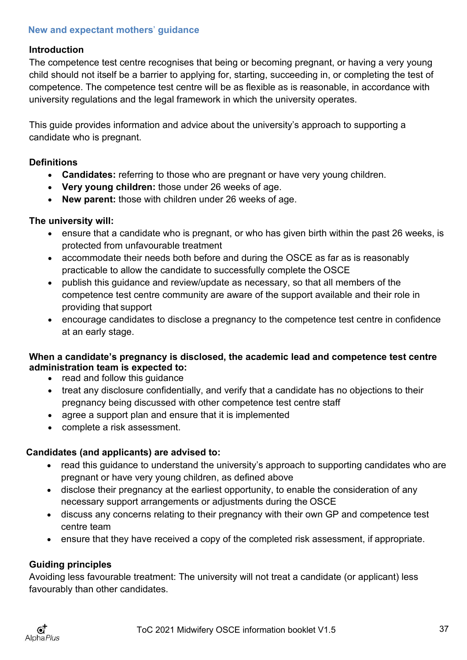## <span id="page-39-0"></span>**New and expectant mothers**' **guidance**

## **Introduction**

The competence test centre recognises that being or becoming pregnant, or having a very young child should not itself be a barrier to applying for, starting, succeeding in, or completing the test of competence. The competence test centre will be as flexible as is reasonable, in accordance with university regulations and the legal framework in which the university operates.

This guide provides information and advice about the university's approach to supporting a candidate who is pregnant.

## **Definitions**

- **Candidates:** referring to those who are pregnant or have very young children.
- **Very young children:** those under 26 weeks of age.
- **New parent:** those with children under 26 weeks of age.

## **The university will:**

- ensure that a candidate who is pregnant, or who has given birth within the past 26 weeks, is protected from unfavourable treatment
- accommodate their needs both before and during the OSCE as far as is reasonably practicable to allow the candidate to successfully complete the OSCE
- publish this guidance and review/update as necessary, so that all members of the competence test centre community are aware of the support available and their role in providing that support
- encourage candidates to disclose a pregnancy to the competence test centre in confidence at an early stage.

## **When a candidate's pregnancy is disclosed, the academic lead and competence test centre administration team is expected to:**

- read and follow this guidance
- treat any disclosure confidentially, and verify that a candidate has no objections to their pregnancy being discussed with other competence test centre staff
- agree a support plan and ensure that it is implemented
- complete a risk assessment.

## **Candidates (and applicants) are advised to:**

- read this guidance to understand the university's approach to supporting candidates who are pregnant or have very young children, as defined above
- disclose their pregnancy at the earliest opportunity, to enable the consideration of any necessary support arrangements or adjustments during the OSCE
- discuss any concerns relating to their pregnancy with their own GP and competence test centre team
- ensure that they have received a copy of the completed risk assessment, if appropriate.

## **Guiding principles**

Avoiding less favourable treatment: The university will not treat a candidate (or applicant) less favourably than other candidates.

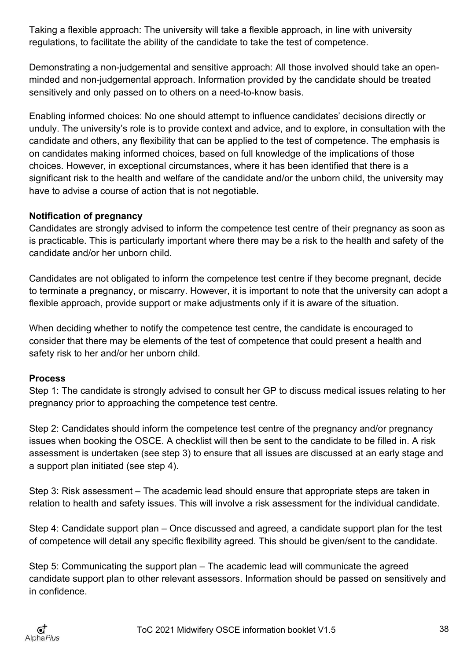Taking a flexible approach: The university will take a flexible approach, in line with university regulations, to facilitate the ability of the candidate to take the test of competence.

Demonstrating a non-judgemental and sensitive approach: All those involved should take an openminded and non-judgemental approach. Information provided by the candidate should be treated sensitively and only passed on to others on a need-to-know basis.

Enabling informed choices: No one should attempt to influence candidates' decisions directly or unduly. The university's role is to provide context and advice, and to explore, in consultation with the candidate and others, any flexibility that can be applied to the test of competence. The emphasis is on candidates making informed choices, based on full knowledge of the implications of those choices. However, in exceptional circumstances, where it has been identified that there is a significant risk to the health and welfare of the candidate and/or the unborn child, the university may have to advise a course of action that is not negotiable.

## **Notification of pregnancy**

Candidates are strongly advised to inform the competence test centre of their pregnancy as soon as is practicable. This is particularly important where there may be a risk to the health and safety of the candidate and/or her unborn child.

Candidates are not obligated to inform the competence test centre if they become pregnant, decide to terminate a pregnancy, or miscarry. However, it is important to note that the university can adopt a flexible approach, provide support or make adjustments only if it is aware of the situation.

When deciding whether to notify the competence test centre, the candidate is encouraged to consider that there may be elements of the test of competence that could present a health and safety risk to her and/or her unborn child.

## **Process**

Step 1: The candidate is strongly advised to consult her GP to discuss medical issues relating to her pregnancy prior to approaching the competence test centre.

Step 2: Candidates should inform the competence test centre of the pregnancy and/or pregnancy issues when booking the OSCE. A checklist will then be sent to the candidate to be filled in. A risk assessment is undertaken (see step 3) to ensure that all issues are discussed at an early stage and a support plan initiated (see step 4).

Step 3: Risk assessment – The academic lead should ensure that appropriate steps are taken in relation to health and safety issues. This will involve a risk assessment for the individual candidate.

Step 4: Candidate support plan – Once discussed and agreed, a candidate support plan for the test of competence will detail any specific flexibility agreed. This should be given/sent to the candidate.

Step 5: Communicating the support plan – The academic lead will communicate the agreed candidate support plan to other relevant assessors. Information should be passed on sensitively and in confidence.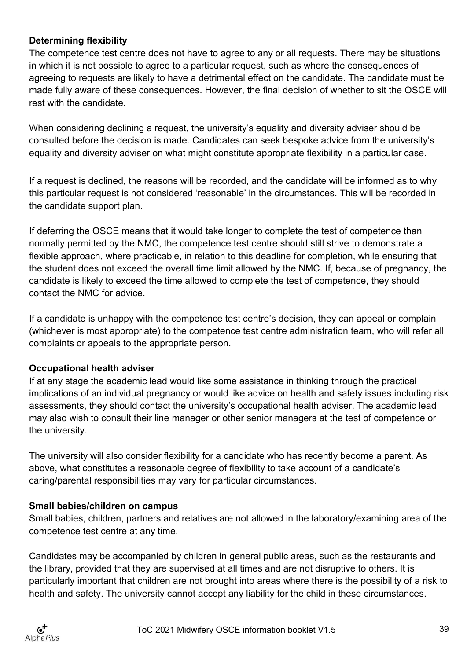## **Determining flexibility**

The competence test centre does not have to agree to any or all requests. There may be situations in which it is not possible to agree to a particular request, such as where the consequences of agreeing to requests are likely to have a detrimental effect on the candidate. The candidate must be made fully aware of these consequences. However, the final decision of whether to sit the OSCE will rest with the candidate.

When considering declining a request, the university's equality and diversity adviser should be consulted before the decision is made. Candidates can seek bespoke advice from the university's equality and diversity adviser on what might constitute appropriate flexibility in a particular case.

If a request is declined, the reasons will be recorded, and the candidate will be informed as to why this particular request is not considered 'reasonable' in the circumstances. This will be recorded in the candidate support plan.

If deferring the OSCE means that it would take longer to complete the test of competence than normally permitted by the NMC, the competence test centre should still strive to demonstrate a flexible approach, where practicable, in relation to this deadline for completion, while ensuring that the student does not exceed the overall time limit allowed by the NMC. If, because of pregnancy, the candidate is likely to exceed the time allowed to complete the test of competence, they should contact the NMC for advice.

If a candidate is unhappy with the competence test centre's decision, they can appeal or complain (whichever is most appropriate) to the competence test centre administration team, who will refer all complaints or appeals to the appropriate person.

## **Occupational health adviser**

If at any stage the academic lead would like some assistance in thinking through the practical implications of an individual pregnancy or would like advice on health and safety issues including risk assessments, they should contact the university's occupational health adviser. The academic lead may also wish to consult their line manager or other senior managers at the test of competence or the university.

The university will also consider flexibility for a candidate who has recently become a parent. As above, what constitutes a reasonable degree of flexibility to take account of a candidate's caring/parental responsibilities may vary for particular circumstances.

## **Small babies/children on campus**

Small babies, children, partners and relatives are not allowed in the laboratory/examining area of the competence test centre at any time.

Candidates may be accompanied by children in general public areas, such as the restaurants and the library, provided that they are supervised at all times and are not disruptive to others. It is particularly important that children are not brought into areas where there is the possibility of a risk to health and safety. The university cannot accept any liability for the child in these circumstances.